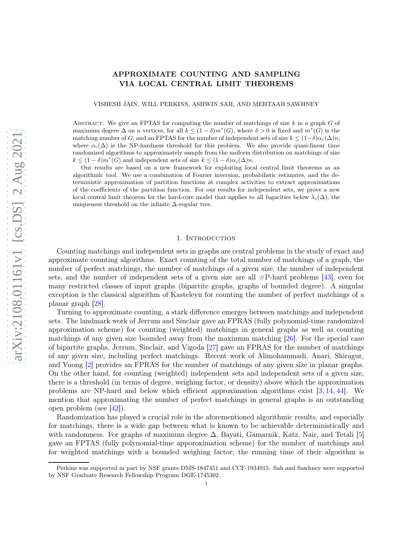# <span id="page-0-0"></span>APPROXIMATE COUNTING AND SAMPLING VIA LOCAL CENTRAL LIMIT THEOREMS

VISHESH JAIN, WILL PERKINS, ASHWIN SAH, AND MEHTAAB SAWHNEY

ABSTRACT. We give an FPTAS for computing the number of matchings of size  $k$  in a graph  $G$  of maximum degree  $\Delta$  on n vertices, for all  $k \leq (1 - \delta)m^*(G)$ , where  $\delta > 0$  is fixed and  $m^*(G)$  is the matching number of G, and an FPTAS for the number of independent sets of size  $k < (1-\delta)\alpha_c(\Delta)n$ , where  $\alpha_c(\Delta)$  is the NP-hardness threshold for this problem. We also provide quasi-linear time randomized algorithms to approximately sample from the uniform distribution on matchings of size  $k \leq (1 - \delta)m^*(G)$  and independent sets of size  $k \leq (1 - \delta)\alpha_c(\Delta)n$ .

Our results are based on a new framework for exploiting local central limit theorems as an algorithmic tool. We use a combination of Fourier inversion, probabilistic estimates, and the deterministic approximation of partition functions at complex activities to extract approximations of the coefficients of the partition function. For our results for independent sets, we prove a new local central limit theorem for the hard-core model that applies to all fugacities below  $\lambda_c(\Delta)$ , the uniqueness threshold on the infinite  $\Delta$ -regular tree.

### 1. INTRODUCTION

Counting matchings and independent sets in graphs are central problems in the study of exact and approximate counting algorithms. Exact counting of the total number of matchings of a graph, the number of perfect matchings, the number of matchings of a given size, the number of independent sets, and the number of independent sets of a given size are all  $#P$ -hard problems [\[43\]](#page-25-0), even for many restricted classes of input graphs (bipartite graphs, graphs of bounded degree). A singular exception is the classical algorithm of Kasteleyn for counting the number of perfect matchings of a planar graph [\[28\]](#page-25-1).

Turning to approximate counting, a stark difference emerges between matchings and independent sets. The landmark work of Jerrum and Sinclair gave an FPRAS (fully polynomial-time randomized approximation scheme) for counting (weighted) matchings in general graphs as well as counting matchings of any given size bounded away from the maximum matching [\[26\]](#page-25-2). For the special case of bipartite graphs, Jerrum, Sinclair, and Vigoda [\[27\]](#page-25-3) gave an FPRAS for the number of matchings of any given size, including perfect matchings. Recent work of Alimohammadi, Anari, Shiragur, and Vuong [\[2\]](#page-24-0) provides an FPRAS for the number of matchings of any given size in planar graphs. On the other hand, for counting (weighted) independent sets and independent sets of a given size, there is a threshold (in terms of degree, weighing factor, or density) above which the approximation problems are NP-hard and below which efficient approximation algorithms exist [\[3,](#page-24-1) [14,](#page-24-2) [44\]](#page-25-4). We mention that approximating the number of perfect matchings in general graphs is an outstanding open problem (see [\[42\]](#page-25-5)).

Randomization has played a crucial role in the aforementioned algorithmic results, and especially for matchings, there is a wide gap between what is known to be achievable deterministically and with randomness. For graphs of maximum degree  $\Delta$ , Bayati, Gamarnik, Katz, Nair, and Tetali [\[5\]](#page-24-3) gave an FPTAS (fully polynomial-time apporoximation scheme) for the number of matchings and for weighted matchings with a bounded weighing factor; the running time of their algorithm is

Perkins was supported in part by NSF grants DMS-1847451 and CCF-1934915. Sah and Sawhney were supported by NSF Graduate Research Fellowship Program DGE-1745302.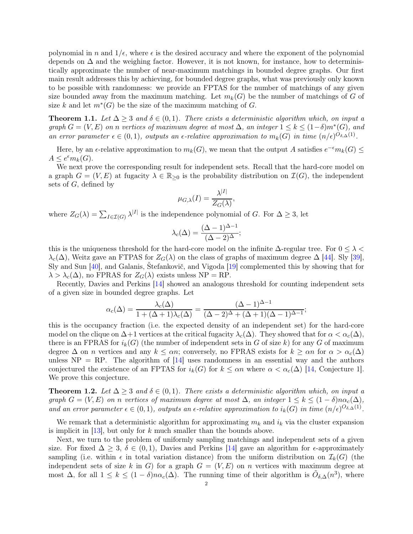<span id="page-1-2"></span>polynomial in n and  $1/\epsilon$ , where  $\epsilon$  is the desired accuracy and where the exponent of the polynomial depends on  $\Delta$  and the weighing factor. However, it is not known, for instance, how to deterministically approximate the number of near-maximum matchings in bounded degree graphs. Our first main result addresses this by achieving, for bounded degree graphs, what was previously only known to be possible with randomness: we provide an FPTAS for the number of matchings of any given size bounded away from the maximum matching. Let  $m_k(G)$  be the number of matchings of G of size k and let  $m^*(G)$  be the size of the maximum matching of G.

<span id="page-1-0"></span>**Theorem 1.1.** Let  $\Delta \geq 3$  and  $\delta \in (0,1)$ . There exists a deterministic algorithm which, on input a  $graph\ G = (V, E)$  *on n vertices of maximum degree at most*  $\Delta$ *, an integer*  $1 \leq k \leq (1-\delta)m^*(G)$ *, and an error parameter*  $\epsilon \in (0,1)$ *, outputs an*  $\epsilon$ *-relative approximation to*  $m_k(G)$  *in time*  $(n/\epsilon)^{O_{\delta,\Delta}(1)}$ *.* 

Here, by an  $\epsilon$ -relative approximation to  $m_k(G)$ , we mean that the output A satisfies  $e^{-\epsilon}m_k(G) \le$  $A \leq e^{\epsilon} m_k(G).$ 

We next prove the corresponding result for independent sets. Recall that the hard-core model on a graph  $G = (V, E)$  at fugacity  $\lambda \in \mathbb{R}_{\geq 0}$  is the probability distribution on  $\mathcal{I}(G)$ , the independent sets of G, defined by

$$
\mu_{G,\lambda}(I) = \frac{\lambda^{|I|}}{Z_G(\lambda)},
$$

where  $Z_G(\lambda) = \sum_{I \in \mathcal{I}(G)} \lambda^{|I|}$  is the independence polynomial of G. For  $\Delta \geq 3$ , let

$$
\lambda_c(\Delta) = \frac{(\Delta - 1)^{\Delta - 1}}{(\Delta - 2)^{\Delta}};
$$

this is the uniqueness threshold for the hard-core model on the infinite  $\Delta$ -regular tree. For  $0 \leq \lambda$  $\lambda_c(\Delta)$ , Weitz gave an FTPAS for  $Z_G(\lambda)$  on the class of graphs of maximum degree  $\Delta$  [\[44\]](#page-25-4). Sly [\[39\]](#page-25-6), Sly and Sun [\[40\]](#page-25-7), and Galanis, Štefankovič, and Vigoda [\[19\]](#page-24-4) complemented this by showing that for  $\lambda > \lambda_c(\Delta)$ , no FPRAS for  $Z_G(\lambda)$  exists unless NP = RP.

Recently, Davies and Perkins [\[14\]](#page-24-2) showed an analogous threshold for counting independent sets of a given size in bounded degree graphs. Let

$$
\alpha_c(\Delta) = \frac{\lambda_c(\Delta)}{1 + (\Delta + 1)\lambda_c(\Delta)} = \frac{(\Delta - 1)^{\Delta - 1}}{(\Delta - 2)^{\Delta} + (\Delta + 1)(\Delta - 1)^{\Delta - 1}};
$$

this is the occupancy fraction (i.e. the expected density of an independent set) for the hard-core model on the clique on  $\Delta+1$  vertices at the critical fugacity  $\lambda_c(\Delta)$ . They showed that for  $\alpha < \alpha_c(\Delta)$ , there is an FPRAS for  $i_k(G)$  (the number of independent sets in G of size k) for any G of maximum degree  $\Delta$  on *n* vertices and any  $k \leq \alpha n$ ; conversely, no FPRAS exists for  $k \geq \alpha n$  for  $\alpha > \alpha_c(\Delta)$ unless  $NP = RP$ . The algorithm of [\[14\]](#page-24-2) uses randomness in an essential way and the authors conjectured the existence of an FPTAS for  $i_k(G)$  for  $k \leq \alpha n$  where  $\alpha < \alpha_c(\Delta)$  [\[14,](#page-24-2) Conjecture 1]. We prove this conjecture.

<span id="page-1-1"></span>**Theorem 1.2.** Let  $\Delta \geq 3$  and  $\delta \in (0,1)$ . There exists a deterministic algorithm which, on input a *graph*  $G = (V, E)$  *on n vertices of maximum degree at most*  $\Delta$ *, an integer*  $1 \leq k \leq (1 - \delta)n\alpha_c(\Delta)$ *, and an error parameter*  $\epsilon \in (0,1)$ *, outputs an*  $\epsilon$ *-relative approximation to*  $i_k(G)$  *in time*  $(n/\epsilon)^{O_{\delta,\Delta}(1)}$ *.* 

We remark that a deterministic algorithm for approximating  $m_k$  and  $i_k$  via the cluster expansion is implicit in  $[13]$ , but only for k much smaller than the bounds above.

Next, we turn to the problem of uniformly sampling matchings and independent sets of a given size. For fixed  $\Delta \geq 3$ ,  $\delta \in (0,1)$ , Davies and Perkins [\[14\]](#page-24-2) gave an algorithm for  $\epsilon$ -approximately sampling (i.e. within  $\epsilon$  in total variation distance) from the uniform distribution on  $\mathcal{I}_k(G)$  (the independent sets of size k in G) for a graph  $G = (V, E)$  on n vertices with maximum degree at most  $\Delta$ , for all  $1 \leq k \leq (1 - \delta)n\alpha_c(\Delta)$ . The running time of their algorithm is  $\tilde{O}_{\delta,\Delta}(n^3)$ , where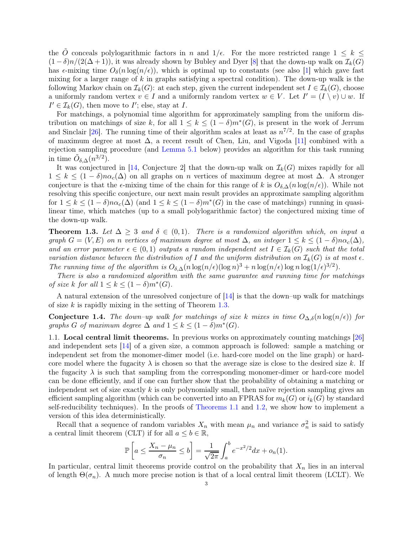<span id="page-2-1"></span>the  $\tilde{O}$  conceals polylogarithmic factors in n and  $1/\epsilon$ . For the more restricted range  $1 \leq k \leq$  $(1-\delta)n/(2(\Delta+1))$ , it was already shown by Bubley and Dyer [\[8\]](#page-24-6) that the down-up walk on  $\mathcal{I}_k(G)$ has  $\epsilon$ -mixing time  $O_\delta(n \log(n/\epsilon))$ , which is optimal up to constants (see also [\[1\]](#page-24-7) which gave fast mixing for a larger range of  $k$  in graphs satisfying a spectral condition). The down-up walk is the following Markov chain on  $\mathcal{I}_k(G)$ : at each step, given the current independent set  $I \in \mathcal{I}_k(G)$ , choose a uniformly random vertex  $v \in I$  and a uniformly random vertex  $w \in V$ . Let  $I' = (I \setminus v) \cup w$ . If  $I' \in \mathcal{I}_k(G)$ , then move to  $I'$ ; else, stay at I.

For matchings, a polynomial time algorithm for approximately sampling from the uniform distribution on matchings of size k, for all  $1 \leq k \leq (1-\delta)m^*(G)$ , is present in the work of Jerrum and Sinclair [\[26\]](#page-25-2). The running time of their algorithm scales at least as  $n^{7/2}$ . In the case of graphs of maximum degree at most ∆, a recent result of Chen, Liu, and Vigoda [\[11\]](#page-24-8) combined with a rejection sampling procedure (and [Lemma 5.1](#page-15-0) below) provides an algorithm for this task running in time  $\tilde{O}_{\delta,\Delta}(n^{3/2})$ .

It was conjectured in [\[14,](#page-24-2) Conjecture 2] that the down-up walk on  $\mathcal{I}_k(G)$  mixes rapidly for all  $1 \leq k \leq (1-\delta)n\alpha_c(\Delta)$  on all graphs on n vertices of maximum degree at most  $\Delta$ . A stronger conjecture is that the  $\epsilon$ -mixing time of the chain for this range of k is  $O_{\delta,\Delta}(n \log(n/\epsilon))$ . While not resolving this specific conjecture, our next main result provides an approximate sampling algorithm for  $1 \leq k \leq (1-\delta)n\alpha_c(\Delta)$  (and  $1 \leq k \leq (1-\delta)m^*(G)$  in the case of matchings) running in quasilinear time, which matches (up to a small polylogarithmic factor) the conjectured mixing time of the down-up walk.

<span id="page-2-0"></span>**Theorem 1.3.** Let  $\Delta \geq 3$  and  $\delta \in (0,1)$ . There is a randomized algorithm which, on input a *graph*  $G = (V, E)$  *on n vertices of maximum degree at most*  $\Delta$ *, an integer*  $1 \leq k \leq (1 - \delta)n\alpha_c(\Delta)$ *, and an error parameter*  $\epsilon \in (0,1)$  *outputs a random independent set*  $I \in \mathcal{I}_k(G)$  *such that the total variation distance between the distribution of* I and the uniform distribution on  $\mathcal{I}_k(G)$  is at most  $\epsilon$ . *The running time of the algorithm is*  $O_{\delta,\Delta}(n \log(n/\epsilon)(\log n)^3 + n \log(n/\epsilon) \log n \log(1/\epsilon)^{3/2})$ *.* 

*There is also a randomized algorithm with the same guarantee and running time for matchings of size* k *for all*  $1 \leq k \leq (1 - \delta)m^*(G)$ *.* 

A natural extension of the unresolved conjecture of [\[14\]](#page-24-2) is that the down–up walk for matchings of size  $k$  is rapidly mixing in the setting of Theorem [1.3.](#page-2-0)

Conjecture 1.4. *The down–up walk for matchings of size* k *mixes in time*  $O_{\Delta,\delta}(n \log(n/\epsilon))$  *for graphs G of maximum degree*  $\Delta$  *and*  $1 \leq k \leq (1 - \delta)m^*(G)$ *.* 

1.1. Local central limit theorems. In previous works on approximately counting matchings [\[26\]](#page-25-2) and independent sets [\[14\]](#page-24-2) of a given size, a common approach is followed: sample a matching or independent set from the monomer-dimer model (i.e. hard-core model on the line graph) or hardcore model where the fugacity  $\lambda$  is chosen so that the average size is close to the desired size k. If the fugacity  $\lambda$  is such that sampling from the corresponding monomer-dimer or hard-core model can be done efficiently, and if one can further show that the probability of obtaining a matching or independent set of size exactly  $k$  is only polynomially small, then naïve rejection sampling gives an efficient sampling algorithm (which can be converted into an FPRAS for  $m_k(G)$  or  $i_k(G)$  by standard self-reducibility techniques). In the proofs of [Theorems 1.1](#page-1-0) and [1.2,](#page-1-1) we show how to implement a version of this idea deterministically.

Recall that a sequence of random variables  $X_n$  with mean  $\mu_n$  and variance  $\sigma_n^2$  is said to satisfy a central limit theorem (CLT) if for all  $a \leq b \in \mathbb{R}$ ,

$$
\mathbb{P}\left[a \le \frac{X_n - \mu_n}{\sigma_n} \le b\right] = \frac{1}{\sqrt{2\pi}} \int_a^b e^{-x^2/2} dx + o_n(1).
$$

In particular, central limit theorems provide control on the probability that  $X_n$  lies in an interval of length  $\Theta(\sigma_n)$ . A much more precise notion is that of a local central limit theorem (LCLT). We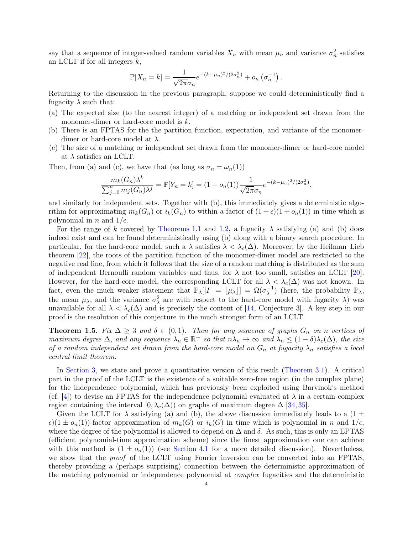<span id="page-3-1"></span>say that a sequence of integer-valued random variables  $X_n$  with mean  $\mu_n$  and variance  $\sigma_n^2$  satisfies an LCLT if for all integers  $k$ ,

$$
\mathbb{P}[X_n = k] = \frac{1}{\sqrt{2\pi}\sigma_n} e^{-(k-\mu_n)^2/(2\sigma_n^2)} + o_n(\sigma_n^{-1}).
$$

Returning to the discussion in the previous paragraph, suppose we could deterministically find a fugacity  $\lambda$  such that:

- (a) The expected size (to the nearest integer) of a matching or independent set drawn from the monomer-dimer or hard-core model is  $k$ .
- (b) There is an FPTAS for the the partition function, expectation, and variance of the monomerdimer or hard-core model at  $\lambda$ .
- (c) The size of a matching or independent set drawn from the monomer-dimer or hard-core model at  $\lambda$  satisfies an LCLT.

Then, from (a) and (c), we have that (as long as  $\sigma_n = \omega_n(1)$ )

$$
\frac{m_k(G_n)\lambda^k}{\sum_{j=0}^n m_j(G_n)\lambda^j} = \mathbb{P}[Y_n = k] = (1 + o_n(1)) \frac{1}{\sqrt{2\pi}\sigma_n} e^{-(k - \mu_n)^2/(2\sigma_n^2)},
$$

and similarly for independent sets. Together with (b), this immediately gives a deterministic algorithm for approximating  $m_k(G_n)$  or  $i_k(G_n)$  to within a factor of  $(1+\epsilon)(1+o_n(1))$  in time which is polynomial in n and  $1/\epsilon$ .

For the range of k covered by [Theorems 1.1](#page-1-0) and [1.2,](#page-1-1) a fugacity  $\lambda$  satisfying (a) and (b) does indeed exist and can be found deterministically using (b) along with a binary search procedure. In particular, for the hard-core model, such a  $\lambda$  satisfies  $\lambda < \lambda_c(\Delta)$ . Moreover, by the Heilman–Lieb theorem [\[22\]](#page-24-9), the roots of the partition function of the monomer-dimer model are restricted to the negative real line, from which it follows that the size of a random matching is distributed as the sum of independent Bernoulli random variables and thus, for  $\lambda$  not too small, satisfies an LCLT [\[20\]](#page-24-10). However, for the hard-core model, the corresponding LCLT for all  $\lambda < \lambda_c(\Delta)$  was not known. In fact, even the much weaker statement that  $\mathbb{P}_{\lambda}[|I| = \lfloor \mu_{\lambda} \rfloor] = \Omega(\sigma_{\lambda}^{-1})$  (here, the probability  $\mathbb{P}_{\lambda}$ , the mean  $\mu_{\lambda}$ , and the variance  $\sigma_{\lambda}^2$  are with respect to the hard-core model with fugacity  $\lambda$ ) was unavailable for all  $\lambda < \lambda_c(\Delta)$  and is precisely the content of [\[14,](#page-24-2) Conjecture 3]. A key step in our proof is the resolution of this conjecture in the much stronger form of an LCLT.

<span id="page-3-0"></span>**Theorem 1.5.** *Fix*  $\Delta \geq 3$  *and*  $\delta \in (0,1)$ *. Then for any sequence of graphs*  $G_n$  *on n vertices of maximum degree*  $\Delta$ *, and any sequence*  $\lambda_n \in \mathbb{R}^+$  *so that*  $n\lambda_n \to \infty$  *and*  $\lambda_n \leq (1 - \delta)\lambda_c(\Delta)$ *, the size of a random independent set drawn from the hard-core model on*  $G_n$  *at fugacity*  $\lambda_n$  *satisfies a local central limit theorem.*

In [Section 3,](#page-8-0) we state and prove a quantitative version of this result [\(Theorem 3.1\)](#page-8-1). A critical part in the proof of the LCLT is the existence of a suitable zero-free region (in the complex plane) for the independence polynomial, which has previously been exploited using Barvinok's method (cf.  $|4|$ ) to devise an FPTAS for the independence polynomial evaluated at  $\lambda$  in a certain complex region containing the interval  $[0, \lambda_c(\Delta))$  on graphs of maximum degree  $\Delta$  [\[34,](#page-25-8) [35\]](#page-25-9).

Given the LCLT for  $\lambda$  satisfying (a) and (b), the above discussion immediately leads to a (1  $\pm$  $\epsilon(1 \pm o_n(1))$ -factor approximation of  $m_k(G)$  or  $i_k(G)$  in time which is polynomial in n and  $1/\epsilon$ , where the degree of the polynomial is allowed to depend on  $\Delta$  and  $\delta$ . As such, this is only an EPTAS (efficient polynomial-time approximation scheme) since the finest approximation one can achieve with this method is  $(1 \pm o_n(1))$  (see [Section 4.1](#page-12-0) for a more detailed discussion). Nevertheless, we show that the *proof* of the LCLT using Fourier inversion can be converted into an FPTAS, thereby providing a (perhaps surprising) connection between the deterministic approximation of the matching polynomial or independence polynomial at *complex* fugacities and the deterministic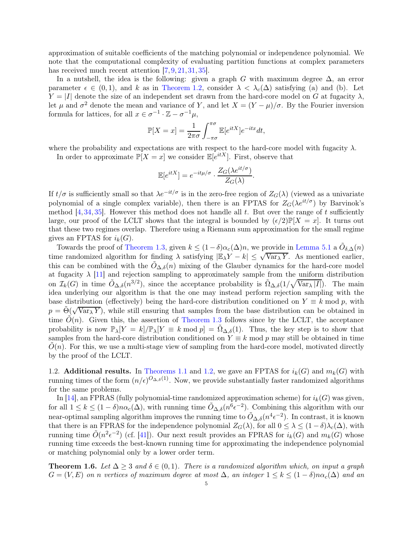<span id="page-4-1"></span>approximation of suitable coefficients of the matching polynomial or independence polynomial. We note that the computational complexity of evaluating partition functions at complex parameters has received much recent attention [\[7,](#page-24-12) [9,](#page-24-13) [21,](#page-24-14) [31,](#page-25-10) [35\]](#page-25-9).

In a nutshell, the idea is the following: given a graph G with maximum degree  $\Delta$ , an error parameter  $\epsilon \in (0,1)$ , and k as in [Theorem 1.2,](#page-1-1) consider  $\lambda < \lambda_c(\Delta)$  satisfying (a) and (b). Let  $Y = |I|$  denote the size of an independent set drawn from the hard-core model on G at fugacity  $\lambda$ , let  $\mu$  and  $\sigma^2$  denote the mean and variance of Y, and let  $X = (Y - \mu)/\sigma$ . By the Fourier inversion formula for lattices, for all  $x \in \sigma^{-1} \cdot \mathbb{Z} - \sigma^{-1} \mu$ ,

$$
\mathbb{P}[X=x] = \frac{1}{2\pi\sigma} \int_{-\pi\sigma}^{\pi\sigma} \mathbb{E}[e^{itX}] e^{-itx} dt,
$$

where the probability and expectations are with respect to the hard-core model with fugacity  $\lambda$ .

In order to approximate  $\mathbb{P}[X=x]$  we consider  $\mathbb{E}[e^{itX}]$ . First, observe that

$$
\mathbb{E}[e^{itX}] = e^{-it\mu/\sigma} \cdot \frac{Z_G(\lambda e^{it/\sigma})}{Z_G(\lambda)}.
$$

If  $t/\sigma$  is sufficiently small so that  $\lambda e^{-it/\sigma}$  is in the zero-free region of  $Z_G(\lambda)$  (viewed as a univariate polynomial of a single complex variable), then there is an FPTAS for  $Z_G(\lambda e^{it/\sigma})$  by Barvinok's method  $[4, 34, 35]$  $[4, 34, 35]$  $[4, 34, 35]$  $[4, 34, 35]$ . However this method does not handle all t. But over the range of t sufficiently large, our proof of the LCLT shows that the integral is bounded by  $(\epsilon/2)\mathbb{P}[X=x]$ . It turns out that these two regimes overlap. Therefore using a Riemann sum approximation for the small regime gives an FPTAS for  $i_k(G)$ .

Towards the proof of [Theorem 1.3,](#page-2-0) given  $k \leq (1-\delta)\alpha_c(\Delta)n$ , we provide in [Lemma 5.1](#page-15-0) a  $\tilde{O}_{\delta,\Delta}(n)$ time randomized algorithm for finding  $\lambda$  satisfying  $|\mathbb{E}_{\lambda}Y - k| \leq \sqrt{\text{Var}_{\lambda}Y}$ . As mentioned earlier, this can be combined with the  $O_{\Delta,\delta}(n)$  mixing of the Glauber dynamics for the hard-core model at fugacity  $\lambda$  [\[11\]](#page-24-8) and rejection sampling to approximately sample from the uniform distribution on  $\mathcal{I}_k(G)$  in time  $\tilde{O}_{\Delta,\delta}(n^{3/2})$ , since the acceptance probability is  $\tilde{\Omega}_{\Delta,\delta}(1/\sqrt{\text{Var}_{\lambda}|I|})$ . The main idea underlying our algorithm is that the one may instead perform rejection sampling with the base distribution (effectively) being the hard-core distribution conditioned on  $Y \equiv k \mod p$ , with  $p = \tilde{\Theta}(\sqrt{\text{Var}_{\lambda} Y})$ , while still ensuring that samples from the base distribution can be obtained in time  $\tilde{O}(n)$ . Given this, the assertion of [Theorem 1.3](#page-2-0) follows since by the LCLT, the acceptance probability is now  $\mathbb{P}_{\lambda}[Y = k]/\mathbb{P}_{\lambda}[Y \equiv k \mod p] = \Omega_{\Delta,\delta}(1)$ . Thus, the key step is to show that samples from the hard-core distribution conditioned on  $Y \equiv k \mod p$  may still be obtained in time  $O(n)$ . For this, we use a multi-stage view of sampling from the hard-core model, motivated directly by the proof of the LCLT.

1.2. **Additional results.** In [Theorems 1.1](#page-1-0) and [1.2,](#page-1-1) we gave an FPTAS for  $i_k(G)$  and  $m_k(G)$  with running times of the form  $(n/\epsilon)^{O_{\Delta,\delta}(1)}$ . Now, we provide substantially faster randomized algorithms for the same problems.

In [\[14\]](#page-24-2), an FPRAS (fully polynomial-time randomized approximation scheme) for  $i_k(G)$  was given, for all  $1 \leq k \leq (1 - \delta)n\alpha_c(\Delta)$ , with running time  $\tilde{O}_{\Delta,\delta}(n^6\epsilon^{-2})$ . Combining this algorithm with our near-optimal sampling algorithm improves the running time to  $\tilde{O}_{\Delta,\delta}(n^4\epsilon^{-2})$ . In contrast, it is known that there is an FPRAS for the independence polynomial  $Z_G(\lambda)$ , for all  $0 \leq \lambda \leq (1-\delta)\lambda_c(\Delta)$ , with running time  $O(n^2 \epsilon^{-2})$  (cf. [\[41\]](#page-25-11)). Our next result provides an FPRAS for  $i_k(G)$  and  $m_k(G)$  whose running time exceeds the best-known running time for approximating the independence polynomial or matching polynomial only by a lower order term.

<span id="page-4-0"></span>**Theorem 1.6.** Let  $\Delta \geq 3$  and  $\delta \in (0,1)$ . There is a randomized algorithm which, on input a graph  $G = (V, E)$  *on n vertices of maximum degree at most*  $\Delta$ *, an integer*  $1 \leq k \leq (1 - \delta)n\alpha_c(\Delta)$  *and an*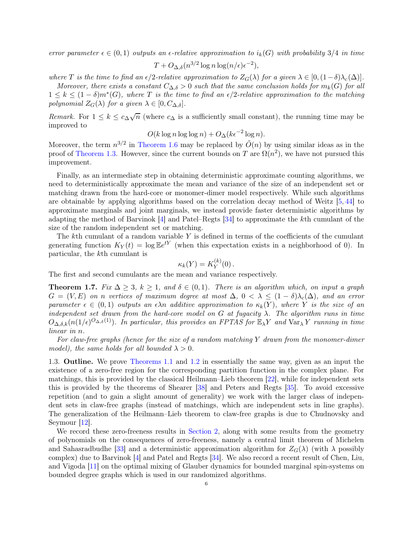<span id="page-5-1"></span>*error parameter*  $\epsilon \in (0,1)$  *outputs an*  $\epsilon$ *-relative approximation to*  $i_k(G)$  *with probability* 3/4 *in time* 

$$
T + O_{\Delta,\delta}(n^{3/2} \log n \log(n/\epsilon) \epsilon^{-2}),
$$

*where* T *is the time to find an*  $\epsilon/2$ *-relative approximation to*  $Z_G(\lambda)$  *for a given*  $\lambda \in [0, (1-\delta)\lambda_c(\Delta))$ *.* 

*Moreover, there exists a constant*  $C_{\Delta,\delta} > 0$  *such that the same conclusion holds for*  $m_k(G)$  *for all*  $1 \leq k \leq (1-\delta)m^*(G)$ , where T is the time to find an  $\epsilon/2$ -relative approximation to the matching *polynomial*  $Z_G(\lambda)$  *for a given*  $\lambda \in [0, C_{\Delta,\delta}].$ 

*Remark.* For  $1 \leq k \leq c_{\Delta} \sqrt{n}$  (where  $c_{\Delta}$  is a sufficiently small constant), the running time may be improved to

$$
O(k \log n \log \log n) + O_{\Delta}(k\epsilon^{-2} \log n).
$$

Moreover, the term  $n^{3/2}$  in [Theorem 1.6](#page-4-0) may be replaced by  $\tilde{O}(n)$  by using similar ideas as in the proof of [Theorem 1.3.](#page-2-0) However, since the current bounds on T are  $\Omega(n^2)$ , we have not pursued this improvement.

Finally, as an intermediate step in obtaining deterministic approximate counting algorithms, we need to deterministically approximate the mean and variance of the size of an independent set or matching drawn from the hard-core or monomer-dimer model respectively. While such algorithms are obtainable by applying algorithms based on the correlation decay method of Weitz [\[5,](#page-24-3) [44\]](#page-25-4) to approximate marginals and joint marginals, we instead provide faster deterministic algorithms by adapting the method of Barvinok [\[4\]](#page-24-11) and Patel–Regts [\[34\]](#page-25-8) to approximate the kth cumulant of the size of the random independent set or matching.

The kth cumulant of a random variable  $Y$  is defined in terms of the coefficients of the cumulant generating function  $K_Y(t) = \log \mathbb{E}e^{tY}$  (when this expectation exists in a neighborhood of 0). In particular, the kth cumulant is  $\langle \rangle$ 

$$
\kappa_k(Y) = K_Y^{(\kappa)}(0).
$$

<span id="page-5-0"></span>The first and second cumulants are the mean and variance respectively.

**Theorem 1.7.** *Fix*  $\Delta \geq 3$ ,  $k \geq 1$ , and  $\delta \in (0,1)$ *. There is an algorithm which, on input a graph*  $G = (V, E)$  *on n vertices of maximum degree at most*  $\Delta$ ,  $0 < \lambda \leq (1 - \delta)\lambda_c(\Delta)$ , and an error *parameter*  $\epsilon \in (0,1)$  *outputs an*  $\epsilon \lambda n$  *additive approximation to*  $\kappa_k(Y)$ *, where* Y *is the size of an independent set drawn from the hard-core model on* G *at fugacity* λ*. The algorithm runs in time*  $O_{\Delta,\delta,k}(n(1/\epsilon)^{O_{\Delta,\delta}(1)})$ . In particular, this provides an FPTAS for  $\mathbb{E}_\lambda Y$  and  $\text{Var}_\lambda Y$  *running in time linear in* n*.*

*For claw-free graphs (hence for the size of a random matching* Y *drawn from the monomer-dimer model*), the same holds for all bounded  $\lambda > 0$ .

1.3. Outline. We prove [Theorems 1.1](#page-1-0) and [1.2](#page-1-1) in essentially the same way, given as an input the existence of a zero-free region for the corresponding partition function in the complex plane. For matchings, this is provided by the classical Heilmann–Lieb theorem [\[22\]](#page-24-9), while for independent sets this is provided by the theorems of Shearer [\[38\]](#page-25-12) and Peters and Regts [\[35\]](#page-25-9). To avoid excessive repetition (and to gain a slight amount of generality) we work with the larger class of independent sets in claw-free graphs (instead of matchings, which are independent sets in line graphs). The generalization of the Heilmann–Lieb theorem to claw-free graphs is due to Chudnovsky and Seymour [\[12\]](#page-24-15).

We record these zero-freeness results in [Section 2,](#page-6-0) along with some results from the geometry of polynomials on the consequences of zero-freeness, namely a central limit theorem of Michelen and Sahasradbudhe [\[33\]](#page-25-13) and a deterministic approximation algorithm for  $Z<sub>G</sub>(\lambda)$  (with  $\lambda$  possibly complex) due to Barvinok [\[4\]](#page-24-11) and Patel and Regts [\[34\]](#page-25-8). We also record a recent result of Chen, Liu, and Vigoda [\[11\]](#page-24-8) on the optimal mixing of Glauber dynamics for bounded marginal spin-systems on bounded degree graphs which is used in our randomized algorithms.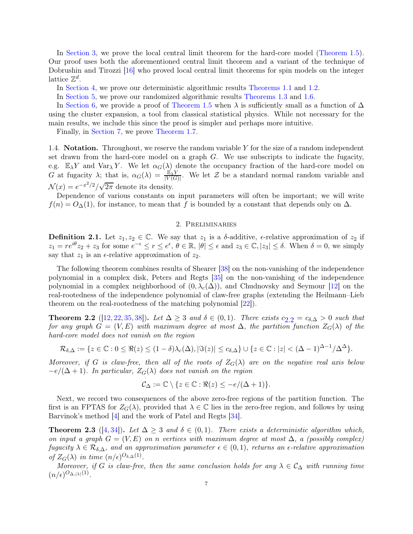<span id="page-6-3"></span>In [Section 3,](#page-8-0) we prove the local central limit theorem for the hard-core model [\(Theorem 1.5\)](#page-3-0). Our proof uses both the aforementioned central limit theorem and a variant of the technique of Dobrushin and Tirozzi [\[16\]](#page-24-16) who proved local central limit theorems for spin models on the integer lattice  $\mathbb{Z}^d$ .

In [Section 4,](#page-11-0) we prove our deterministic algorithmic results [Theorems 1.1](#page-1-0) and [1.2.](#page-1-1)

In [Section 5,](#page-15-1) we prove our randomized algorithmic results [Theorems 1.3](#page-2-0) and [1.6.](#page-4-0)

In [Section 6,](#page-19-0) we provide a proof of [Theorem 1.5](#page-3-0) when  $\lambda$  is sufficiently small as a function of  $\Delta$ using the cluster expansion, a tool from classical statistical physics. While not necessary for the main results, we include this since the proof is simpler and perhaps more intuitive.

Finally, in [Section 7,](#page-22-0) we prove [Theorem 1.7.](#page-5-0)

1.4. **Notation.** Throughout, we reserve the random variable  $Y$  for the size of a random independent set drawn from the hard-core model on a graph  $G$ . We use subscripts to indicate the fugacity, e.g.  $\mathbb{E}_{\lambda} Y$  and  $\text{Var}_{\lambda} Y$ . We let  $\alpha_G(\lambda)$  denote the occupancy fraction of the hard-core model on G at fugacity  $\lambda$ ; that is,  $\alpha_G(\lambda) = \frac{\mathbb{E}\lambda Y}{|V(G)|}$ . We let Z be a standard normal random variable and  $\mathcal{N}(x) = e^{-x^2/2}/\sqrt{2\pi}$  denote its density.

Dependence of various constants on input parameters will often be important; we will write  $f(n) = O_\Delta(1)$ , for instance, to mean that f is bounded by a constant that depends only on  $\Delta$ .

## 2. Preliminaries

<span id="page-6-0"></span>**Definition 2.1.** Let  $z_1, z_2 \in \mathbb{C}$ . We say that  $z_1$  is a  $\delta$ -additive,  $\epsilon$ -relative approximation of  $z_2$  if  $z_1 = re^{i\theta}z_2 + z_3$  for some  $e^{-\epsilon} \le r \le e^{\epsilon}$ ,  $\theta \in \mathbb{R}$ ,  $|\theta| \le \epsilon$  and  $z_3 \in \mathbb{C}$ ,  $|z_3| \le \delta$ . When  $\delta = 0$ , we simply say that  $z_1$  is an  $\epsilon$ -relative approximation of  $z_2$ .

The following theorem combines results of Shearer [\[38\]](#page-25-12) on the non-vanishing of the independence polynomial in a complex disk, Peters and Regts [\[35\]](#page-25-9) on the non-vanishing of the independence polynomial in a complex neighborhood of  $(0, \lambda_c(\Delta))$ , and Chudnovsky and Seymour [\[12\]](#page-24-15) on the real-rootedness of the independence polynomial of claw-free graphs (extending the Heilmann–Lieb theorem on the real-rootedness of the matching polynomial [\[22\]](#page-24-9)).

<span id="page-6-1"></span>**Theorem [2](#page-6-1).2** ([\[12,](#page-24-15) [22,](#page-24-9) [35,](#page-25-9) [38\]](#page-25-12)). *Let*  $\Delta \geq 3$  *and*  $\delta \in (0,1)$ *. There exists*  $c_{2,2} = c_{\delta,\Delta} > 0$  *such that for any graph*  $G = (V, E)$  *with maximum degree at most*  $\Delta$ *, the partition function*  $Z_G(\lambda)$  *of the hard-core model does not vanish on the region*

$$
\mathcal{R}_{\delta,\Delta} := \{ z \in \mathbb{C} : 0 \leq \Re(z) \leq (1-\delta)\lambda_c(\Delta), |\Im(z)| \leq c_{\delta,\Delta} \} \cup \{ z \in \mathbb{C} : |z| < (\Delta - 1)^{\Delta - 1}/\Delta^{\Delta} \}.
$$

*Moreover, if* G *is claw-free, then all of the roots of*  $Z_G(\lambda)$  *are on the negative real axis below*  $-e/(\Delta+1)$ *. In particular,*  $Z_G(\lambda)$  *does not vanish on the region* 

$$
\mathcal{C}_{\Delta}:=\mathbb{C}\setminus\{z\in\mathbb{C}:\Re(z)\leq-e/(\Delta+1)\}.
$$

Next, we record two consequences of the above zero-free regions of the partition function. The first is an FPTAS for  $Z_G(\lambda)$ , provided that  $\lambda \in \mathbb{C}$  lies in the zero-free region, and follows by using Barvinok's method [\[4\]](#page-24-11) and the work of Patel and Regts [\[34\]](#page-25-8).

<span id="page-6-2"></span>**Theorem 2.3** ([\[4,](#page-24-11)[34\]](#page-25-8)). Let  $\Delta \geq 3$  and  $\delta \in (0,1)$ . There exists a deterministic algorithm which, *on input a graph*  $G = (V, E)$  *on n vertices with maximum degree at most*  $\Delta$ *, a (possibly complex) fugacity*  $\lambda \in \mathcal{R}_{\delta,\Delta}$ *, and an approximation parameter*  $\epsilon \in (0,1)$ *, returns an*  $\epsilon$ *-relative approximation of*  $Z_G(\lambda)$  *in time*  $(n/\epsilon)^{O_{\delta,\Delta}(1)}$ *.* 

*Moreover, if* G *is claw-free, then the same conclusion holds for any*  $\lambda \in C_{\Delta}$  *with running time*  $(n/\epsilon)^{O_{\Delta,|\lambda|}(1)}.$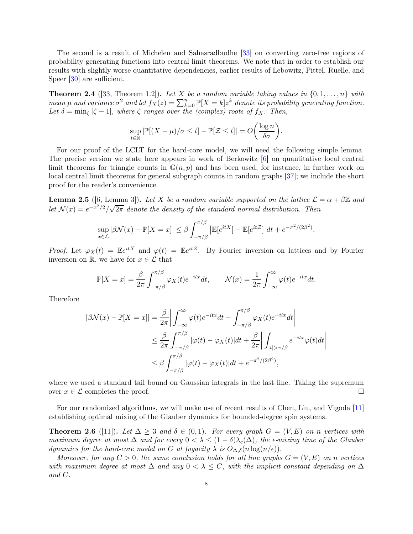<span id="page-7-3"></span>The second is a result of Michelen and Sahasradbudhe [\[33\]](#page-25-13) on converting zero-free regions of probability generating functions into central limit theorems. We note that in order to establish our results with slightly worse quantitative dependencies, earlier results of Lebowitz, Pittel, Ruelle, and Speer [\[30\]](#page-25-14) are sufficient.

<span id="page-7-0"></span>**Theorem 2.4** ([\[33,](#page-25-13) Theorem 1.2]). Let X be a random variable taking values in  $\{0, 1, \ldots, n\}$  with *mean*  $\mu$  *and variance*  $\sigma^2$  *and let*  $f_X(z) = \sum_{k=0}^n \mathbb{P}[X = k]z^k$  *denote its probability generating function. Let*  $\delta = \min_{\zeta} |\zeta - 1|$ *, where*  $\zeta$  *ranges over the (complex) roots of*  $f_X$ *. Then,* 

$$
\sup_{t \in \mathbb{R}} |\mathbb{P}[(X - \mu)/\sigma \le t] - \mathbb{P}[\mathcal{Z} \le t]| = O\bigg(\frac{\log n}{\delta \sigma}\bigg).
$$

For our proof of the LCLT for the hard-core model, we will need the following simple lemma. The precise version we state here appears in work of Berkowitz [\[6\]](#page-24-17) on quantitative local central limit theorems for triangle counts in  $\mathbb{G}(n, p)$  and has been used, for instance, in further work on local central limit theorems for general subgraph counts in random graphs [\[37\]](#page-25-15); we include the short proof for the reader's convenience.

<span id="page-7-1"></span>**Lemma 2.5** ([\[6,](#page-24-17) Lemma 3]). Let X be a random variable supported on the lattice  $\mathcal{L} = \alpha + \beta \mathbb{Z}$  and let  $\mathcal{N}(x) = e^{-x^2/2}/\sqrt{2\pi}$  denote the density of the standard normal distribution. Then

$$
\sup_{x \in \mathcal{L}} |\beta \mathcal{N}(x) - \mathbb{P}[X = x]| \le \beta \int_{-\pi/\beta}^{\pi/\beta} \left| \mathbb{E}[e^{itX}] - \mathbb{E}[e^{it\mathcal{Z}}] \right| dt + e^{-\pi^2/(2\beta^2)}.
$$

*Proof.* Let  $\varphi_X(t) = \mathbb{E}e^{itX}$  and  $\varphi(t) = \mathbb{E}e^{it\mathcal{Z}}$ . By Fourier inversion on lattices and by Fourier inversion on R, we have for  $x \in \mathcal{L}$  that

$$
\mathbb{P}[X=x] = \frac{\beta}{2\pi} \int_{-\pi/\beta}^{\pi/\beta} \varphi_X(t) e^{-itx} dt, \qquad \mathcal{N}(x) = \frac{1}{2\pi} \int_{-\infty}^{\infty} \varphi(t) e^{-itx} dt.
$$

Therefore

$$
|\beta \mathcal{N}(x) - \mathbb{P}[X = x]| = \frac{\beta}{2\pi} \left| \int_{-\infty}^{\infty} \varphi(t) e^{-itx} dt - \int_{-\pi/\beta}^{\pi/\beta} \varphi_X(t) e^{-itx} dt \right|
$$
  

$$
\leq \frac{\beta}{2\pi} \int_{-\pi/\beta}^{\pi/\beta} |\varphi(t) - \varphi_X(t)| dt + \frac{\beta}{2\pi} \left| \int_{|t| > \pi/\beta} e^{-itx} \varphi(t) dt \right|
$$
  

$$
\leq \beta \int_{-\pi/\beta}^{\pi/\beta} |\varphi(t) - \varphi_X(t)| dt + e^{-\pi^2/(2\beta^2)},
$$

where we used a standard tail bound on Gaussian integrals in the last line. Taking the supremum over  $x \in \mathcal{L}$  completes the proof.

<span id="page-7-2"></span>For our randomized algorithms, we will make use of recent results of Chen, Liu, and Vigoda [\[11\]](#page-24-8) establishing optimal mixing of the Glauber dynamics for bounded-degree spin systems.

**Theorem 2.6** ([\[11\]](#page-24-8)). Let  $\Delta \geq 3$  and  $\delta \in (0,1)$ . For every graph  $G = (V, E)$  on n vertices with *maximum degree at most*  $\Delta$  *and for every*  $0 < \lambda \leq (1 - \delta)\lambda_c(\Delta)$ , the  $\epsilon$ -mixing time of the Glauber *dynamics for the hard-core model on* G at fugacity  $\lambda$  *is*  $O_{\Delta,\delta}(n \log(n/\epsilon))$ *.* 

*Moreover, for any*  $C > 0$ , the same conclusion holds for all line graphs  $G = (V, E)$  on n vertices *with maximum degree at most* ∆ *and any* 0 < λ ≤ C*, with the implicit constant depending on* ∆ *and* C*.*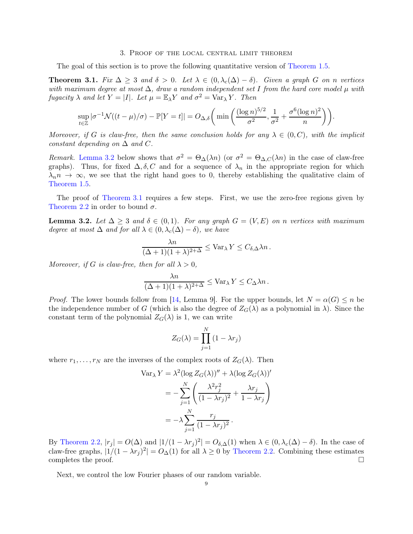#### 3. Proof of the local central limit theorem

<span id="page-8-4"></span><span id="page-8-1"></span><span id="page-8-0"></span>The goal of this section is to prove the following quantitative version of [Theorem 1.5.](#page-3-0)

**Theorem 3.1.** *Fix*  $\Delta \geq 3$  *and*  $\delta > 0$ *. Let*  $\lambda \in (0, \lambda_c(\Delta) - \delta)$ *. Given a graph* G *on n vertices with maximum degree at most* ∆*, draw a random independent set* I *from the hard core model* µ *with fugacity*  $\lambda$  *and let*  $Y = |I|$ *. Let*  $\mu = \mathbb{E}_{\lambda} Y$  *and*  $\sigma^2 = \text{Var}_{\lambda} Y$ *. Then* 

$$
\sup_{t\in\mathbb{Z}}|\sigma^{-1}\mathcal{N}((t-\mu)/\sigma)-\mathbb{P}[Y=t]|=O_{\Delta,\delta}\bigg(\min\bigg(\frac{(\log n)^{5/2}}{\sigma^2},\frac{1}{\sigma^2}+\frac{\sigma^6(\log n)^2}{n}\bigg)\bigg).
$$

*Moreover, if* G *is claw-free, then the same conclusion holds for any*  $\lambda \in (0, C)$ *, with the implicit constant depending on*  $\Delta$  *and*  $C$ *.* 

*Remark.* [Lemma 3.2](#page-8-2) below shows that  $\sigma^2 = \Theta_{\Delta}(\lambda n)$  (or  $\sigma^2 = \Theta_{\Delta,C}(\lambda n)$  in the case of claw-free graphs). Thus, for fixed  $\Delta, \delta, C$  and for a sequence of  $\lambda_n$  in the appropriate region for which  $\lambda_n n \to \infty$ , we see that the right hand goes to 0, thereby establishing the qualitative claim of [Theorem 1.5.](#page-3-0)

<span id="page-8-2"></span>The proof of [Theorem 3.1](#page-8-1) requires a few steps. First, we use the zero-free regions given by [Theorem 2.2](#page-6-1) in order to bound  $\sigma$ .

Lemma 3.2. *Let* ∆ ≥ 3 *and* δ ∈ (0, 1)*. For any graph* G = (V, E) *on* n *vertices with maximum degree at most*  $\Delta$  *and for all*  $\lambda \in (0, \lambda_c(\Delta) - \delta)$ *, we have* 

$$
\frac{\lambda n}{(\Delta+1)(1+\lambda)^{2+\Delta}} \leq \text{Var}_{\lambda} Y \leq C_{\delta,\Delta} \lambda n \,.
$$

*Moreover, if* G *is claw-free, then for all*  $\lambda > 0$ *,* 

$$
\frac{\lambda n}{(\Delta+1)(1+\lambda)^{2+\Delta}} \leq \text{Var}_{\lambda} Y \leq C_{\Delta} \lambda n \,.
$$

*Proof.* The lower bounds follow from [\[14,](#page-24-2) Lemma 9]. For the upper bounds, let  $N = \alpha(G) \leq n$  be the independence number of G (which is also the degree of  $Z_G(\lambda)$  as a polynomial in  $\lambda$ ). Since the constant term of the polynomial  $Z_G(\lambda)$  is 1, we can write

$$
Z_G(\lambda) = \prod_{j=1}^N (1 - \lambda r_j)
$$

where  $r_1, \ldots, r_N$  are the inverses of the complex roots of  $Z_G(\lambda)$ . Then

$$
\operatorname{Var}_{\lambda} Y = \lambda^2 (\log Z_G(\lambda))'' + \lambda (\log Z_G(\lambda))'
$$
  
= 
$$
-\sum_{j=1}^N \left( \frac{\lambda^2 r_j^2}{(1 - \lambda r_j)^2} + \frac{\lambda r_j}{1 - \lambda r_j} \right)
$$
  
= 
$$
-\lambda \sum_{j=1}^N \frac{r_j}{(1 - \lambda r_j)^2}.
$$

By [Theorem 2.2,](#page-6-1)  $|r_j| = O(\Delta)$  and  $|1/(1 - \lambda r_j)^2| = O_{\delta,\Delta}(1)$  when  $\lambda \in (0, \lambda_c(\Delta) - \delta)$ . In the case of claw-free graphs,  $|1/(1 - \lambda r_j)^2| = O_{\Delta}(1)$  for all  $\lambda \ge 0$  by [Theorem 2.2.](#page-6-1) Combining these estimates completes the proof.  $\Box$ 

<span id="page-8-3"></span>Next, we control the low Fourier phases of our random variable.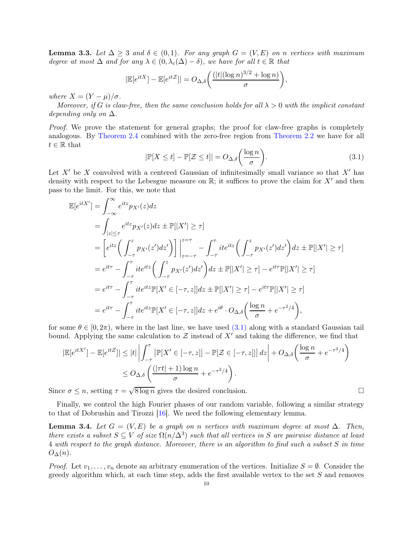<span id="page-9-2"></span>**Lemma 3.3.** Let  $\Delta > 3$  and  $\delta \in (0,1)$ . For any graph  $G = (V, E)$  on n vertices with maximum *degree at most*  $\Delta$  *and for any*  $\lambda \in (0, \lambda_c(\Delta) - \delta)$ *, we have for all*  $t \in \mathbb{R}$  *that* 

$$
|\mathbb{E}[e^{itX}] - \mathbb{E}[e^{it\mathcal{Z}}]| = O_{\Delta,\delta}\bigg(\frac{(|t|(\log n)^{3/2} + \log n)}{\sigma}\bigg),\,
$$

*where*  $X = (Y - \mu)/\sigma$ .

*Moreover, if* G *is claw-free, then the same conclusion holds for all*  $\lambda > 0$  *with the implicit constant depending only on* ∆*.*

*Proof.* We prove the statement for general graphs; the proof for claw-free graphs is completely analogous. By [Theorem 2.4](#page-7-0) combined with the zero-free region from [Theorem 2.2](#page-6-1) we have for all  $t \in \mathbb{R}$  that

<span id="page-9-0"></span>
$$
|\mathbb{P}[X \le t] - \mathbb{P}[\mathcal{Z} \le t]| = O_{\Delta,\delta}\left(\frac{\log n}{\sigma}\right). \tag{3.1}
$$

Let  $X'$  be X convolved with a centered Gaussian of infinitesimally small variance so that  $X'$  has density with respect to the Lebesgue measure on  $\mathbb{R}$ ; it suffices to prove the claim for  $X'$  and then pass to the limit. For this, we note that

$$
\mathbb{E}[e^{itX'}] = \int_{-\infty}^{\infty} e^{itz} p_{X'}(z) dz
$$
  
\n
$$
= \int_{|z| \leq \tau} e^{itz} p_{X'}(z) dz \pm \mathbb{P}[|X'| \geq \tau]
$$
  
\n
$$
= \left[ e^{itz} \left( \int_{-\tau}^{z} p_{X'}(z') dz' \right) \right] \Big|_{z=-\tau}^{z=\tau} - \int_{-\tau}^{\tau} it e^{itz} \left( \int_{-\tau}^{z} p_{X'}(z') dz' \right) dz \pm \mathbb{P}[|X'| \geq \tau]
$$
  
\n
$$
= e^{it\tau} - \int_{-\tau}^{\tau} it e^{itz} \left( \int_{-\tau}^{z} p_{X'}(z') dz' \right) dz \pm \mathbb{P}[|X'| \geq \tau] - e^{it\tau} \mathbb{P}[|X'| \geq \tau]
$$
  
\n
$$
= e^{it\tau} - \int_{-\tau}^{\tau} it e^{itz} \mathbb{P}[X' \in [-\tau, z]] dz \pm \mathbb{P}[|X'| \geq \tau] - e^{it\tau} \mathbb{P}[|X'| \geq \tau]
$$
  
\n
$$
= e^{it\tau} - \int_{-\tau}^{\tau} it e^{itz} \mathbb{P}[X' \in [-\tau, z]] dz + e^{i\theta} \cdot O_{\Delta, \delta} \left( \frac{\log n}{\sigma} + e^{-\tau^2/4} \right),
$$

for some  $\theta \in [0, 2\pi)$ , where in the last line, we have used  $(3.1)$  along with a standard Gaussian tail bound. Applying the same calculation to  $\mathcal Z$  instead of  $X'$  and taking the difference, we find that

$$
|\mathbb{E}[e^{itX'}] - \mathbb{E}[e^{itZ}]| \le |t| \left| \int_{-\tau}^{\tau} |\mathbb{P}[X' \in [-\tau, z]] - \mathbb{P}[\mathcal{Z} \in [-\tau, z]]| \, dz \right| + O_{\Delta, \delta} \left( \frac{\log n}{\sigma} + e^{-\tau^2/4} \right)
$$
  

$$
\le O_{\Delta, \delta} \left( \frac{(|\tau t| + 1) \log n}{\sigma} + e^{-\tau^2/4} \right).
$$

Since  $\sigma \leq n$ , setting  $\tau = \sqrt{8 \log n}$  gives the desired conclusion.

<span id="page-9-1"></span>Finally, we control the high Fourier phases of our random variable, following a similar strategy to that of Dobrushin and Tirozzi [\[16\]](#page-24-16). We need the following elementary lemma.

**Lemma 3.4.** *Let*  $G = (V, E)$  *be a graph on n vertices with maximum degree at most*  $\Delta$ *. Then, there exists a subset*  $S \subseteq V$  *of size*  $\Omega(n/\Delta^3)$  *such that all vertices in* S *are pairwise distance at least* 4 *with respect to the graph distance. Moreover, there is an algorithm to find such a subset* S *in time*  $O_{\Delta}(n)$ *.* 

*Proof.* Let  $v_1, \ldots, v_n$  denote an arbitrary enumeration of the vertices. Initialize  $S = \emptyset$ . Consider the greedy algorithm which, at each time step, adds the first available vertex to the set  $S$  and removes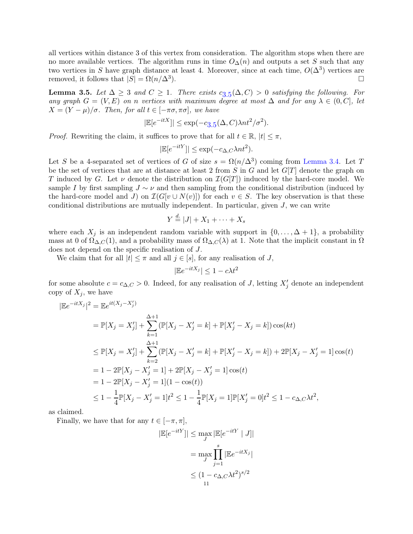all vertices within distance 3 of this vertex from consideration. The algorithm stops when there are no more available vertices. The algorithm runs in time  $O_{\Delta}(n)$  and outputs a set S such that any two vertices in S have graph distance at least 4. Moreover, since at each time,  $O(\Delta^3)$  vertices are removed, it follows that  $|S| = \Omega(n/\Delta^3)$ . ).  $\qquad \qquad \Box$ 

<span id="page-10-0"></span>**Lemma [3](#page-10-0).5.** Let  $\Delta \geq 3$  and  $C \geq 1$ . There exists  $c_{3.5}(\Delta, C) > 0$  satisfying the following. For *any graph*  $G = (V, E)$  *on* n *vertices with maximum degree at most*  $\Delta$  *and for any*  $\lambda \in (0, C]$ *, let*  $X = (Y - \mu)/\sigma$ . Then, for all  $t \in [-\pi\sigma, \pi\sigma]$ , we have

$$
|\mathbb{E}[e^{-itX}]| \le \exp(-c_{3.5}(\Delta, C)\lambda nt^2/\sigma^2).
$$

*Proof.* Rewriting the claim, it suffices to prove that for all  $t \in \mathbb{R}$ ,  $|t| \leq \pi$ ,

$$
|\mathbb{E}[e^{-itY}]| \le \exp(-c_{\Delta,C}\lambda nt^2).
$$

Let S be a 4-separated set of vertices of G of size  $s = \Omega(n/\Delta^3)$  coming from [Lemma 3.4.](#page-9-1) Let T be the set of vertices that are at distance at least 2 from S in G and let  $G[T]$  denote the graph on T induced by G. Let  $\nu$  denote the distribution on  $\mathcal{I}(G[T])$  induced by the hard-core model. We sample I by first sampling  $J \sim \nu$  and then sampling from the conditional distribution (induced by the hard-core model and J) on  $\mathcal{I}(G[v \cup N(v)])$  for each  $v \in S$ . The key observation is that these conditional distributions are mutually independent. In particular, given  $J$ , we can write

$$
Y \stackrel{d}{=} |J| + X_1 + \cdots + X_s
$$

where each  $X_j$  is an independent random variable with support in  $\{0, \ldots, \Delta + 1\}$ , a probability mass at 0 of  $\Omega_{\Delta,C}(1)$ , and a probability mass of  $\Omega_{\Delta,C}(\lambda)$  at 1. Note that the implicit constant in  $\Omega$ does not depend on the specific realisation of J.

We claim that for all  $|t| \leq \pi$  and all  $j \in [s]$ , for any realisation of J,

$$
|\mathbb{E}e^{-itX_j}| \le 1 - c\lambda t^2
$$

for some absolute  $c = c_{\Delta,C} > 0$ . Indeed, for any realisation of J, letting  $X'_{j}$  denote an independent copy of  $X_j$ , we have

$$
|\mathbb{E}e^{-itX_j}|^2 = \mathbb{E}e^{it(X_j - X'_j)}
$$
  
\n
$$
= \mathbb{P}[X_j = X'_j] + \sum_{k=1}^{\Delta+1} (\mathbb{P}[X_j - X'_j = k] + \mathbb{P}[X'_j - X_j = k])\cos(kt)
$$
  
\n
$$
\leq \mathbb{P}[X_j = X'_j] + \sum_{k=2}^{\Delta+1} (\mathbb{P}[X_j - X'_j = k] + \mathbb{P}[X'_j - X_j = k]) + 2\mathbb{P}[X_j - X'_j = 1]\cos(t)
$$
  
\n
$$
= 1 - 2\mathbb{P}[X_j - X'_j = 1] + 2\mathbb{P}[X_j - X'_j = 1]\cos(t)
$$
  
\n
$$
= 1 - 2\mathbb{P}[X_j - X'_j = 1](1 - \cos(t))
$$
  
\n
$$
\leq 1 - \frac{1}{4}\mathbb{P}[X_j - X'_j = 1]t^2 \leq 1 - \frac{1}{4}\mathbb{P}[X_j = 1]\mathbb{P}[X'_j = 0]t^2 \leq 1 - c_{\Delta,C}\lambda t^2,
$$

as claimed.

Finally, we have that for any  $t \in [-\pi, \pi]$ ,

$$
|\mathbb{E}[e^{-itY}]| \le \max_{J} |\mathbb{E}[e^{-itY} | J]|
$$

$$
= \max_{J} \prod_{j=1}^{s} |\mathbb{E}e^{-itX_j}|
$$

$$
\le (1 - c_{\Delta,C} \lambda t^2)^{s/2}
$$
<sup>11</sup>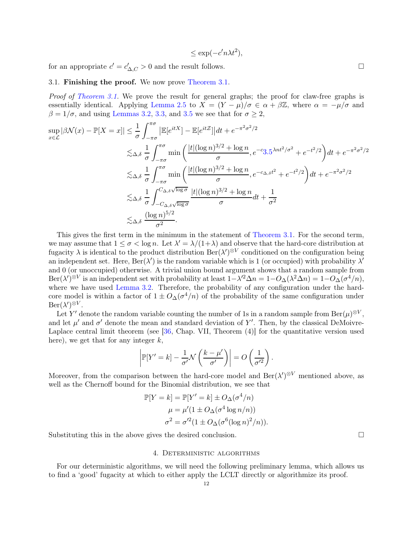$$
\leq \exp(-c'n\lambda t^2),
$$

<span id="page-11-2"></span>for an appropriate  $c' = c'_{\Delta,C} > 0$  and the result follows.

## 3.1. Finishing the proof. We now prove [Theorem 3.1.](#page-8-1)

*Proof of [Theorem 3.1.](#page-8-1)* We prove the result for general graphs; the proof for claw-free graphs is essentially identical. Applying [Lemma 2.5](#page-7-1) to  $X = (Y - \mu)/\sigma \in \alpha + \beta \mathbb{Z}$ , where  $\alpha = -\mu/\sigma$  and  $\beta = 1/\sigma$ , and using [Lemmas 3.2,](#page-8-2) [3.3,](#page-8-3) and [3.5](#page-10-0) we see that for  $\sigma \geq 2$ ,

$$
\sup_{x \in \mathcal{L}} |\beta \mathcal{N}(x) - \mathbb{P}[X = x]| \leq \frac{1}{\sigma} \int_{-\pi\sigma}^{\pi\sigma} |\mathbb{E}[e^{itX}] - \mathbb{E}[e^{itZ}]| dt + e^{-\pi^2 \sigma^2/2}
$$
  
\n
$$
\lesssim_{\Delta, \delta} \frac{1}{\sigma} \int_{-\pi\sigma}^{\pi\sigma} \min \left( \frac{|t|(\log n)^{3/2} + \log n}{\sigma}, e^{-c_{3.5}\lambda nt^{2}/\sigma^{2}} + e^{-t^{2}/2} \right) dt + e^{-\pi^2 \sigma^2/2}
$$
  
\n
$$
\lesssim_{\Delta, \delta} \frac{1}{\sigma} \int_{-\pi\sigma}^{\pi\sigma} \min \left( \frac{|t|(\log n)^{3/2} + \log n}{\sigma}, e^{-c_{\Delta, \delta}t^{2}} + e^{-t^{2}/2} \right) dt + e^{-\pi^2 \sigma^2/2}
$$
  
\n
$$
\lesssim_{\Delta, \delta} \frac{1}{\sigma} \int_{-C_{\Delta, \delta} \sqrt{\log \sigma}}^{C_{\Delta, \delta} \sqrt{\log \sigma}} \frac{|t|(\log n)^{3/2} + \log n}{\sigma} dt + \frac{1}{\sigma^2}
$$
  
\n
$$
\lesssim_{\Delta, \delta} \frac{(\log n)^{5/2}}{\sigma^{2}}.
$$

This gives the first term in the minimum in the statement of [Theorem 3.1.](#page-8-1) For the second term, we may assume that  $1 \le \sigma < \log n$ . Let  $\lambda' = \lambda/(1+\lambda)$  and observe that the hard-core distribution at fugacity  $\lambda$  is identical to the product distribution  $\text{Ber}(\lambda')^{\otimes V}$  conditioned on the configuration being an independent set. Here,  $\text{Ber}(\lambda')$  is the random variable which is 1 (or occupied) with probability  $\lambda'$ and 0 (or unoccupied) otherwise. A trivial union bound argument shows that a random sample from  $\text{Ber}(\lambda')^{\otimes V}$  is an independent set with probability at least  $1-\lambda'^2\Delta n = 1-O_{\Delta}(\lambda^2\Delta n) = 1-O_{\Delta}(\sigma^4/n)$ , where we have used [Lemma 3.2.](#page-8-2) Therefore, the probability of any configuration under the hardcore model is within a factor of  $1 \pm O_{\Delta}(\sigma^4/n)$  of the probability of the same configuration under  $\mathrm{Ber}(\lambda')^{\otimes V}.$ 

Let Y' denote the random variable counting the number of 1s in a random sample from  $\text{Ber}(\mu)^{\otimes V}$ , and let  $\mu'$  and  $\sigma'$  denote the mean and standard deviation of Y'. Then, by the classical DeMoivre-Laplace central limit theorem (see [\[36,](#page-25-16) Chap. VII, Theorem (4)] for the quantitative version used here), we get that for any integer  $k$ ,

$$
\left| \mathbb{P}[Y'=k] - \frac{1}{\sigma'} \mathcal{N}\left(\frac{k-\mu'}{\sigma'}\right) \right| = O\left(\frac{1}{\sigma'^2}\right).
$$

Moreover, from the comparison between the hard-core model and  $\text{Ber}(\lambda')^{\otimes V}$  mentioned above, as well as the Chernoff bound for the Binomial distribution, we see that

$$
\mathbb{P}[Y=k] = \mathbb{P}[Y'=k] \pm O_{\Delta}(\sigma^4/n)
$$

$$
\mu = \mu'(1 \pm O_{\Delta}(\sigma^4 \log n/n))
$$

$$
\sigma^2 = \sigma'^2(1 \pm O_{\Delta}(\sigma^6 (\log n)^2/n)).
$$

<span id="page-11-0"></span>Substituting this in the above gives the desired conclusion.  $\Box$ 

#### 4. Deterministic algorithms

<span id="page-11-1"></span>For our deterministic algorithms, we will need the following preliminary lemma, which allows us to find a 'good' fugacity at which to either apply the LCLT directly or algorithmize its proof.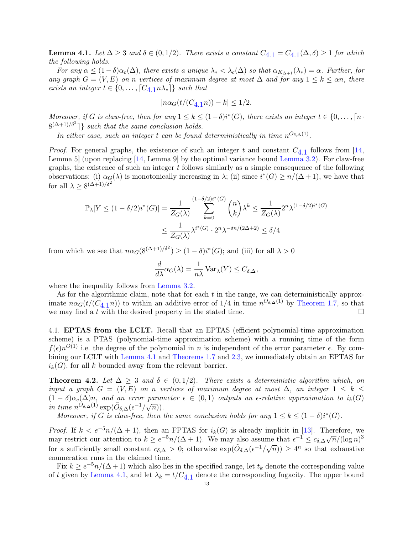<span id="page-12-1"></span>**Lemma [4](#page-11-1).1.** Let  $\Delta \geq 3$  and  $\delta \in (0, 1/2)$ . There exists a constant  $C_{4,1} = C_{4,1}(\Delta, \delta) \geq 1$  for which *the following holds.*

*For any*  $\alpha \leq (1-\delta)\alpha_c(\Delta)$ , there exists a unique  $\lambda_* < \lambda_c(\Delta)$  so that  $\alpha_{K_{\Delta+1}}(\lambda_*) = \alpha$ . Further, for *any graph*  $G = (V, E)$  *on n vertices of maximum degree at most*  $\Delta$  *and for any*  $1 \leq k \leq \alpha n$ *, there exists an integer*  $t \in \{0, \ldots, \lceil C_{4,1} n \lambda_* \rceil\}$  $t \in \{0, \ldots, \lceil C_{4,1} n \lambda_* \rceil\}$  $t \in \{0, \ldots, \lceil C_{4,1} n \lambda_* \rceil\}$  *such that* 

$$
|n\alpha_G(t/(C_{4.1}n)) - k| \le 1/2.
$$

*Moreover, if* G *is claw-free, then for any*  $1 \leq k \leq (1-\delta)i^*(G)$ , there exists an integer  $t \in \{0, \ldots, \lceil n \cdot \frac{d}{dt}\rceil\}$  $8^{(\Delta+1)/\delta^2}$  auch that the same conclusion holds.

*In either case, such an integer* t *can be found deterministically in time*  $n^{O_{\delta,\Delta}(1)}$ *.* 

*Proof.* For general graphs, the existence of such an integer t and constant  $C_{4,1}$  $C_{4,1}$  $C_{4,1}$  follows from [\[14,](#page-24-2) Lemma 5] (upon replacing [\[14,](#page-24-2) Lemma 9] by the optimal variance bound [Lemma 3.2\)](#page-8-2). For claw-free graphs, the existence of such an integer  $t$  follows similarly as a simple consequence of the following observations: (i)  $\alpha_G(\lambda)$  is monotonically increasing in  $\lambda$ ; (ii) since  $i^*(G) \geq n/(\Delta+1)$ , we have that for all  $\lambda \geq 8^{(\Delta+1)/\delta^2}$ 

$$
\mathbb{P}_{\lambda}[Y \le (1 - \delta/2)i^*(G)] = \frac{1}{Z_G(\lambda)} \sum_{k=0}^{(1 - \delta/2)i^*(G)} \binom{n}{k} \lambda^k \le \frac{1}{Z_G(\lambda)} 2^n \lambda^{(1 - \delta/2)i^*(G)}
$$

$$
\le \frac{1}{Z_G(\lambda)} \lambda^{i^*(G)} \cdot 2^n \lambda^{-\delta n/(2\Delta + 2)} \le \delta/4
$$

from which we see that  $n\alpha_G(8^{(\Delta+1)/\delta^2}) \ge (1-\delta)i^*(G)$ ; and (iii) for all  $\lambda > 0$ 

$$
\frac{d}{d\lambda}\alpha_G(\lambda) = \frac{1}{n\lambda} \operatorname{Var}_{\lambda}(Y) \le C_{\delta,\Delta},
$$

where the inequality follows from [Lemma 3.2.](#page-8-2)

As for the algorithmic claim, note that for each  $t$  in the range, we can deterministically approximate  $n\alpha_G(t/(C_{4,1}n))$  $n\alpha_G(t/(C_{4,1}n))$  $n\alpha_G(t/(C_{4,1}n))$  to within an additive error of 1/4 in time  $n^{O_{\delta,\Delta}(1)}$  by [Theorem 1.7,](#page-5-0) so that we may find a t with the desired property in the stated time.  $\Box$ 

<span id="page-12-0"></span>4.1. EPTAS from the LCLT. Recall that an EPTAS (efficient polynomial-time approximation scheme) is a PTAS (polynomial-time approximation scheme) with a running time of the form  $f(\epsilon)n^{O(1)}$  i.e. the degree of the polynomial in n is independent of the error parameter  $\epsilon$ . By combining our LCLT with [Lemma 4.1](#page-11-1) and [Theorems 1.7](#page-5-0) and [2.3,](#page-6-2) we immediately obtain an EPTAS for  $i_k(G)$ , for all k bounded away from the relevant barrier.

**Theorem 4.2.** Let  $\Delta \geq 3$  and  $\delta \in (0, 1/2)$ . There exists a deterministic algorithm which, on *input a graph*  $G = (V, E)$  *on n vertices of maximum degree at most*  $\Delta$ *, an integer*  $1 \leq k \leq$  $(1 - \delta)\alpha_c(\Delta)n$ , and an error parameter  $\epsilon \in (0, 1)$  outputs an  $\epsilon$ -relative approximation to  $i_k(G)$  $\lim_{m \to \infty} \lim_{n \to \infty} \rho^{\hat{O}_{\delta,\Delta}(1)} \exp(\tilde{O}_{\delta,\Delta}(\epsilon^{-1}/\sqrt{n})).$ 

*Moreover, if G is claw-free, then the same conclusion holds for any*  $1 \leq k \leq (1 - \delta)i^*(G)$ *.* 

*Proof.* If  $k < e^{-5n}/(\Delta + 1)$ , then an FPTAS for  $i_k(G)$  is already implicit in [\[13\]](#page-24-5). Therefore, we may restrict our attention to  $k \ge e^{-5n}/(\Delta + 1)$ . We may also assume that  $\epsilon^{-1} \le c_{\delta,\Delta} \sqrt{n}/(\log n)^3$ for a sufficiently small constant  $c_{\delta,\Delta} > 0$ ; otherwise  $\exp(\tilde{O}_{\delta,\Delta}(\epsilon^{-1}/\sqrt{n})) \geq 4^n$  so that exhaustive enumeration runs in the claimed time.

Fix  $k \geq e^{-5n}/(\Delta+1)$  which also lies in the specified range, let  $t_k$  denote the corresponding value of t given by [Lemma 4.1,](#page-11-1) and let  $\lambda_k = t/C_{4,1}$  $\lambda_k = t/C_{4,1}$  $\lambda_k = t/C_{4,1}$  denote the corresponding fugacity. The upper bound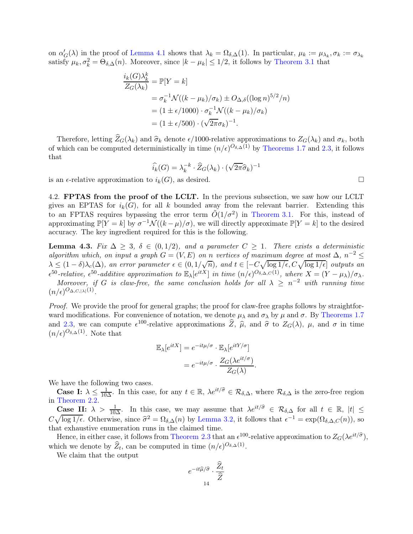on  $\alpha'_{\mathcal{G}}(\lambda)$  in the proof of [Lemma 4.1](#page-11-1) shows that  $\lambda_k = \Omega_{\delta,\Delta}(1)$ . In particular,  $\mu_k := \mu_{\lambda_k}, \sigma_k := \sigma_{\lambda_k}$ satisfy  $\mu_k, \sigma_k^2 = \Theta_{\delta,\Delta}(n)$ . Moreover, since  $|k - \mu_k| \leq 1/2$ , it follows by [Theorem 3.1](#page-8-1) that

$$
\frac{i_k(G)\lambda_k^k}{Z_G(\lambda_k)} = \mathbb{P}[Y = k]
$$
  
=  $\sigma_k^{-1} \mathcal{N}((k - \mu_k)/\sigma_k) \pm O_{\Delta,\delta}((\log n)^{5/2}/n)$   
=  $(1 \pm \epsilon/1000) \cdot \sigma_k^{-1} \mathcal{N}((k - \mu_k)/\sigma_k)$   
=  $(1 \pm \epsilon/500) \cdot (\sqrt{2\pi}\sigma_k)^{-1}$ .

Therefore, letting  $\widehat{Z}_G(\lambda_k)$  and  $\widehat{\sigma}_k$  denote  $\epsilon/1000$ -relative approximations to  $Z_G(\lambda_k)$  and  $\sigma_k$ , both of which can be computed deterministically in time  $(n/\epsilon)^{O_{\delta,\Delta}(1)}$  by [Theorems 1.7](#page-5-0) and [2.3,](#page-6-2) it follows that

$$
\widehat{i_k}(G) = \lambda_k^{-k} \cdot \widehat{Z}_G(\lambda_k) \cdot (\sqrt{2\pi}\widehat{\sigma}_k)^{-1}
$$

is an  $\epsilon$ -relative approximation to  $i_k(G)$ , as desired.

4.2. FPTAS from the proof of the LCLT. In the previous subsection, we saw how our LCLT gives an EPTAS for  $i_k(G)$ , for all k bounded away from the relevant barrier. Extending this to an FPTAS requires bypassing the error term  $\tilde{O}(1/\sigma^2)$  in [Theorem 3.1.](#page-8-1) For this, instead of approximating  $\mathbb{P}[Y = k]$  by  $\sigma^{-1}\mathcal{N}((k - \mu)/\sigma)$ , we will directly approximate  $\mathbb{P}[Y = k]$  to the desired accuracy. The key ingredient required for this is the following.

<span id="page-13-0"></span>**Lemma 4.3.** *Fix*  $\Delta \geq 3$ ,  $\delta \in (0, 1/2)$ , and a parameter  $C \geq 1$ . There exists a deterministic *algorithm which, on input a graph*  $G = (V, E)$  *on*  $n$  *vertices of maximum degree at most*  $\Delta$ *,*  $n^{-2} \leq$  $\lambda \leq (1-\delta)\lambda_c(\Delta)$ , an error parameter  $\epsilon \in (0,1/\sqrt{n})$ , and  $t \in [-C\sqrt{\log 1/\epsilon}, C\sqrt{\log 1/\epsilon}]$  outputs an  $\epsilon^{50}$ -relative,  $\epsilon^{50}$ -additive approximation to  $\mathbb{E}_{\lambda}[e^{itX}]$  in time  $(n/\epsilon)^{O_{\delta,\Delta,C}(1)}$ , where  $X = (Y - \mu_{\lambda})/\sigma_{\lambda}$ .

*Moreover, if* G *is claw-free, the same conclusion holds for all*  $\lambda \geq n^{-2}$  *with running time*  $(n/\epsilon)^{O_{\Delta,C,|\lambda|}(1)}.$ 

*Proof.* We provide the proof for general graphs; the proof for claw-free graphs follows by straightforward modifications. For convenience of notation, we denote  $\mu_{\lambda}$  and  $\sigma_{\lambda}$  by  $\mu$  and  $\sigma$ . By [Theorems 1.7](#page-5-0) and [2.3,](#page-6-2) we can compute  $\epsilon^{100}$ -relative approximations  $\hat{Z}, \hat{\mu}$ , and  $\hat{\sigma}$  to  $Z_G(\lambda)$ ,  $\mu$ , and  $\sigma$  in time  $(n/\epsilon)^{O_{\delta,\Delta}(1)}$ . Note that

$$
\mathbb{E}_{\lambda}[e^{itX}] = e^{-it\mu/\sigma} \cdot \mathbb{E}_{\lambda}[e^{itY/\sigma}]
$$

$$
= e^{-it\mu/\sigma} \cdot \frac{Z_G(\lambda e^{it/\sigma})}{Z_G(\lambda)}.
$$

We have the following two cases.

**Case I:**  $\lambda \leq \frac{1}{10\Delta}$ . In this case, for any  $t \in \mathbb{R}$ ,  $\lambda e^{it/\hat{\sigma}} \in \mathcal{R}_{\delta,\Delta}$ , where  $\mathcal{R}_{\delta,\Delta}$  is the zero-free region in [Theorem 2.2.](#page-6-1)

**Case II:**  $\lambda > \frac{1}{10\Delta}$ . In this case, we may assume that  $\lambda e^{it/\hat{\sigma}} \in \mathcal{R}_{\delta,\Delta}$  for all  $t \in \mathbb{R}$ ,  $|t| \leq$  $C\sqrt{\log 1/\epsilon}$ . Otherwise, since  $\hat{\sigma}^2 = \Omega_{\delta,\Delta}(n)$  by [Lemma 3.2,](#page-8-2) it follows that  $\epsilon^{-1} = \exp(\Omega_{\delta,\Delta,C}(n))$ , so that exhaustive enumeration runs in the claimed time.

Hence, in either case, it follows from [Theorem 2.3](#page-6-2) that an  $\epsilon^{100}$ -relative approximation to  $Z_G(\lambda e^{it/\hat{\sigma}})$ , which we denote by  $\widehat{Z}_t$ , can be computed in time  $(n/\epsilon)^{O_{\delta,\Delta}(1)}$ .

We claim that the output

$$
e^{-it\widehat{\mu}/\widehat{\sigma}}\cdot \frac{\widehat{Z}_t}{\widehat{Z}} \\ 14}
$$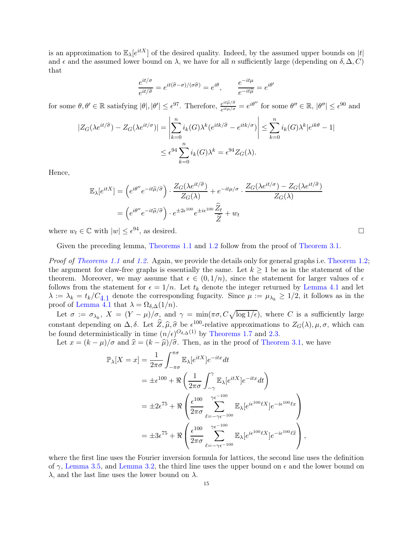is an approximation to  $\mathbb{E}_{\lambda}[e^{itX}]$  of the desired quality. Indeed, by the assumed upper bounds on  $|t|$ and  $\epsilon$  and the assumed lower bound on  $\lambda$ , we have for all n sufficiently large (depending on  $\delta, \Delta, C$ ) that

$$
\frac{e^{it/\sigma}}{e^{it/\hat{\sigma}}} = e^{it(\hat{\sigma} - \sigma)/(\sigma \hat{\sigma})} = e^{i\theta}, \qquad \frac{e^{-it\mu}}{e^{-it\hat{\mu}}} = e^{i\theta'}
$$

for some  $\theta, \theta' \in \mathbb{R}$  satisfying  $|\theta|, |\theta'| \leq \epsilon^{97}$ . Therefore,  $\frac{e^{it\hat{\mu}/\hat{\sigma}}}{e^{it\mu/\sigma}}$  $e^{it\hat{\mu}/\hat{\sigma}} = e^{i\theta''}$  for some  $\theta'' \in \mathbb{R}$ ,  $|\theta''| \leq \epsilon^{90}$  and

$$
|Z_G(\lambda e^{it/\hat{\sigma}}) - Z_G(\lambda e^{it/\sigma})| = \left| \sum_{k=0}^n i_k(G)\lambda^k (e^{itk/\hat{\sigma}} - e^{itk/\sigma}) \right| \le \sum_{k=0}^n i_k(G)\lambda^k |e^{ik\theta} - 1|
$$
  

$$
\le e^{94} \sum_{k=0}^n i_k(G)\lambda^k = e^{94} Z_G(\lambda).
$$

Hence,

$$
\mathbb{E}_{\lambda}[e^{itX}] = \left(e^{i\theta''}e^{-it\widehat{\mu}/\widehat{\sigma}}\right) \cdot \frac{Z_G(\lambda e^{it/\widehat{\sigma}})}{Z_G(\lambda)} + e^{-it\mu/\sigma} \cdot \frac{Z_G(\lambda e^{it/\sigma}) - Z_G(\lambda e^{it/\widehat{\sigma}})}{Z_G(\lambda)}
$$

$$
= \left(e^{i\theta''}e^{-it\widehat{\mu}/\widehat{\sigma}}\right) \cdot e^{\pm 2\epsilon^{100}}e^{\pm i\epsilon^{100}}\frac{\widehat{Z}_t}{\widehat{Z}} + w_t
$$

where  $w_t \in \mathbb{C}$  with  $|w| \leq \epsilon^{94}$ , as desired.

Given the preceding lemma, [Theorems 1.1](#page-1-0) and [1.2](#page-1-1) follow from the proof of [Theorem 3.1.](#page-8-1)

*Proof of [Theorems 1.1](#page-1-0) and [1.2.](#page-1-1)* Again, we provide the details only for general graphs i.e. [Theorem 1.2;](#page-1-1) the argument for claw-free graphs is essentially the same. Let  $k \geq 1$  be as in the statement of the theorem. Moreover, we may assume that  $\epsilon \in (0, 1/n)$ , since the statement for larger values of  $\epsilon$ follows from the statement for  $\epsilon = 1/n$ . Let  $t_k$  denote the integer returned by [Lemma 4.1](#page-11-1) and let  $\lambda := \lambda_k = t_k/C_{4,1}$  $\lambda := \lambda_k = t_k/C_{4,1}$  $\lambda := \lambda_k = t_k/C_{4,1}$  denote the corresponding fugacity. Since  $\mu := \mu_{\lambda_k} \ge 1/2$ , it follows as in the proof of [Lemma 4.1](#page-11-1) that  $\lambda = \Omega_{\delta,\Delta}(1/n)$ .

Let  $\sigma := \sigma_{\lambda_k}$ ,  $X = (Y - \mu)/\sigma$ , and  $\gamma = \min(\pi \sigma, C \sqrt{\log 1/\epsilon})$ , where C is a sufficiently large constant depending on  $\Delta$ ,  $\delta$ . Let  $\widehat{Z}$ ,  $\widehat{\mu}$ ,  $\widehat{\sigma}$  be  $\epsilon^{100}$ -relative approximations to  $Z_G(\lambda)$ ,  $\mu$ ,  $\sigma$ , which can be found deterministically in time  $(n/\epsilon)^{O_{\delta,\Delta}(1)}$  by [Theorems 1.7](#page-5-0) and [2.3.](#page-6-2)

Let  $x = (k - \mu)/\sigma$  and  $\hat{x} = (k - \hat{\mu})/\hat{\sigma}$ . Then, as in the proof of [Theorem 3.1,](#page-8-1) we have

$$
\mathbb{P}_{\lambda}[X=x] = \frac{1}{2\pi\sigma} \int_{-\pi\sigma}^{\pi\sigma} \mathbb{E}_{\lambda}[e^{itX}]e^{-itx}dt
$$
  
\n
$$
= \pm e^{100} + \Re\left(\frac{1}{2\pi\sigma} \int_{-\gamma}^{\gamma} \mathbb{E}_{\lambda}[e^{itX}]e^{-itx}dt\right)
$$
  
\n
$$
= \pm 2e^{75} + \Re\left(\frac{\epsilon^{100}}{2\pi\sigma} \sum_{\ell=-\gamma\epsilon^{-100}}^{\gamma\epsilon^{-100}} \mathbb{E}_{\lambda}[e^{i\epsilon^{100}\ell X}]e^{-i\epsilon^{100}\ell x}\right)
$$
  
\n
$$
= \pm 3e^{75} + \Re\left(\frac{\epsilon^{100}}{2\pi\sigma} \sum_{\ell=-\gamma\epsilon^{-100}}^{\gamma\epsilon^{-100}} \mathbb{E}_{\lambda}[e^{i\epsilon^{100}\ell X}]e^{-i\epsilon^{100}\ell\hat{x}}\right),
$$

where the first line uses the Fourier inversion formula for lattices, the second line uses the definition of  $\gamma$ , [Lemma 3.5,](#page-10-0) and [Lemma 3.2,](#page-8-2) the third line uses the upper bound on  $\epsilon$  and the lower bound on  $\lambda$ , and the last line uses the lower bound on  $\lambda$ .

$$
\Box
$$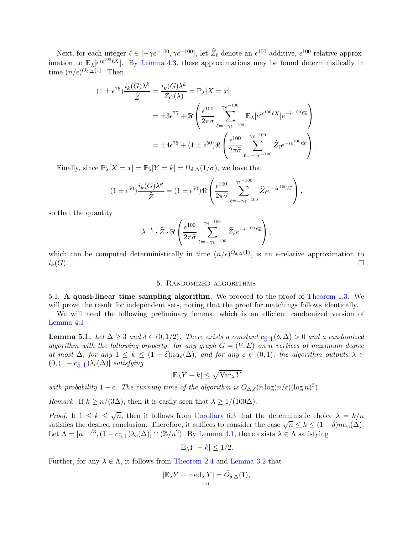Next, for each integer  $\ell \in [-\gamma \epsilon^{-100}, \gamma \epsilon^{-100}]$ , let  $\widehat{Z}_{\ell}$  denote an  $\epsilon^{100}$ -additive,  $\epsilon^{100}$ -relative approximation to  $\mathbb{E}_{\lambda}[e^{i\epsilon^{100}\ell X}]$ . By [Lemma 4.3,](#page-13-0) these approximations may be found deterministically in time  $(n/\epsilon)^{O_{\delta,\Delta}(1)}$ . Then,

$$
(1 \pm \epsilon^{75}) \frac{i_k(G)\lambda^k}{\hat{Z}} = \frac{i_k(G)\lambda^k}{Z_G(\lambda)} = \mathbb{P}_{\lambda}[X = x]
$$
  
=  $\pm 3\epsilon^{75} + \Re\left(\frac{\epsilon^{100}}{2\pi\sigma} \sum_{\ell=-\gamma\epsilon^{-100}}^{\gamma\epsilon^{-100}} \mathbb{E}_{\lambda}[e^{i\epsilon^{100}\ell X}]e^{-i\epsilon^{100}\ell\hat{x}}\right)$   
=  $\pm 4\epsilon^{75} + (1 \pm \epsilon^{50})\Re\left(\frac{\epsilon^{100}}{2\pi\hat{\sigma}} \sum_{\ell=-\gamma\epsilon^{-100}}^{\gamma\epsilon^{-100}} \hat{Z}_{\ell}e^{-i\epsilon^{100}\ell\hat{x}}\right).$ 

Finally, since  $\mathbb{P}_{\lambda}[X=x] = \mathbb{P}_{\lambda}[Y=k] = \Omega_{\delta,\Delta}(1/\sigma)$ , we have that

$$
(1 \pm \epsilon^{50}) \frac{i_k(G)\lambda^k}{\hat{Z}} = (1 \pm \epsilon^{50}) \Re \left( \frac{\epsilon^{100}}{2\pi \hat{\sigma}} \sum_{\ell=-\gamma \epsilon^{-100}}^{\gamma \epsilon^{-100}} \hat{Z}_{\ell} e^{-i\epsilon^{100}\ell \hat{x}} \right),
$$

so that the quantity

$$
\lambda^{-k} \cdot \widehat{Z} \cdot \Re \left( \frac{\epsilon^{100}}{2\pi \widehat{\sigma}} \sum_{\ell=-\gamma \epsilon^{-100}}^{\gamma \epsilon^{-100}} \widehat{Z}_{\ell} e^{-i\epsilon^{100} \ell \widehat{x}} \right),
$$

which can be computed deterministically in time  $(n/\epsilon)^{O_{\delta,\Delta}(1)}$ , is an  $\epsilon$ -relative approximation to  $i_k(G)$ .

### 5. Randomized algorithms

<span id="page-15-1"></span>5.1. A quasi-linear time sampling algorithm. We proceed to the proof of [Theorem 1.3.](#page-2-0) We will prove the result for independent sets, noting that the proof for matchings follows identically.

<span id="page-15-0"></span>We will need the following preliminary lemma, which is an efficient randomized version of [Lemma 4.1.](#page-11-1)

**Lemma [5](#page-15-0).1.** Let  $\Delta \geq 3$  and  $\delta \in (0, 1/2)$ . There exists a constant  $c_{5.1}(\delta, \Delta) > 0$  and a randomized *algorithm with the following property: for any graph*  $G = (V, E)$  *on n vertices of maximum degree at most*  $\Delta$ *, for any*  $1 \leq k \leq (1 - \delta)n\alpha_c(\Delta)$ *, and for any*  $\epsilon \in (0, 1)$ *, the algorithm outputs*  $\lambda \in$  $(0, (1 - c_{5.1})\lambda_c(\Delta)]$  $(0, (1 - c_{5.1})\lambda_c(\Delta)]$  $(0, (1 - c_{5.1})\lambda_c(\Delta)]$  *satisfying* 

$$
|\mathbb{E}_{\lambda}Y-k|\leq \sqrt{\text{Var}_{\lambda}Y}
$$

*with probability*  $1 - \epsilon$ *. The running time of the algorithm is*  $O_{\Delta,\delta}(n \log(n/\epsilon)(\log n)^3)$ *.* 

*Remark.* If  $k \geq n/(3\Delta)$ , then it is easily seen that  $\lambda \geq 1/(100\Delta)$ .

*Proof.* If  $1 \leq k \leq \sqrt{n}$ , then it follows from [Corollary 6.3](#page-20-0) that the deterministic choice  $\lambda = k/n$ satisfies the desired conclusion. Therefore, it suffices to consider the case  $\sqrt{n} \le k \le (1-\delta)n\alpha_c(\Delta)$ . Let  $\Lambda = [n^{-1/3}, (1 - c_{5.1})\lambda_c(\Delta)] \cap (\mathbb{Z}/n^2)$  $\Lambda = [n^{-1/3}, (1 - c_{5.1})\lambda_c(\Delta)] \cap (\mathbb{Z}/n^2)$  $\Lambda = [n^{-1/3}, (1 - c_{5.1})\lambda_c(\Delta)] \cap (\mathbb{Z}/n^2)$ . By [Lemma 4.1,](#page-11-1) there exists  $\lambda \in \Lambda$  satisfying

$$
|\mathbb{E}_{\lambda}Y - k| \le 1/2.
$$

Further, for any  $\lambda \in \Lambda$ , it follows from [Theorem 2.4](#page-7-0) and [Lemma 3.2](#page-8-2) that

$$
|\mathbb{E}_{\lambda}Y - \text{med}_{\lambda}Y| = \tilde{O}_{\delta,\Delta}(1),
$$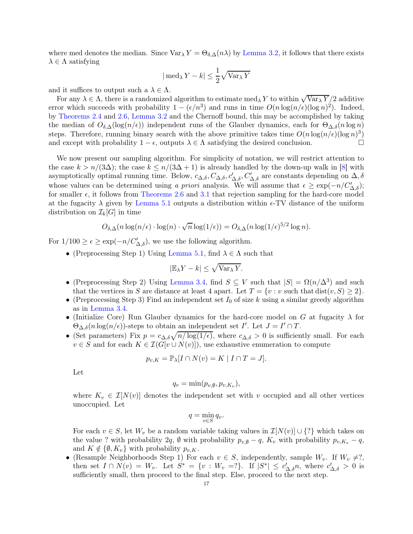<span id="page-16-0"></span>where med denotes the median. Since Var<sub> $\lambda$ </sub> Y =  $\Theta_{\delta,\Delta}(n\lambda)$  by [Lemma 3.2,](#page-8-2) it follows that there exists  $\lambda \in \Lambda$  satisfying

$$
|\operatorname{med}_{\lambda} Y - k| \le \frac{1}{2} \sqrt{\operatorname{Var}_{\lambda} Y}
$$

and it suffices to output such a  $\lambda \in \Lambda$ .

For any  $\lambda \in \Lambda$ , there is a randomized algorithm to estimate med<sub> $\lambda$ </sub> Y to within  $\sqrt{\text{Var}_{\lambda} Y/2}$  additive error which succeeds with probability  $1 - (\epsilon/n^3)$  and runs in time  $O(n \log(n/\epsilon)(\log n)^2)$ . Indeed, by [Theorems 2.4](#page-7-0) and [2.6,](#page-7-2) [Lemma 3.2](#page-8-2) and the Chernoff bound, this may be accomplished by taking the median of  $O_{\delta,\Delta}(\log(n/\epsilon))$  independent runs of the Glauber dynamics, each for  $\Theta_{\Delta,\delta}(n \log n)$ steps. Therefore, running binary search with the above primitive takes time  $O(n \log(n/\epsilon)(\log n)^3)$ and except with probability  $1 - \epsilon$ , outputs  $\lambda \in \Lambda$  satisfying the desired conclusion.

We now present our sampling algorithm. For simplicity of notation, we will restrict attention to the case  $k > n/(3\Delta)$ ; the case  $k \leq n/(3\Delta + 1)$  is already handled by the down-up walk in [\[8\]](#page-24-6) with asymptotically optimal running time. Below,  $c_{\Delta,\delta}$ ,  $C_{\Delta,\delta}$ ,  $c'_{\Delta,\delta}$ ,  $C'_{\Delta,\delta}$  are constants depending on  $\Delta,\delta$ whose values can be determined using *a priori* analysis. We will assume that  $\epsilon \ge \exp(-n/C'_{\Delta,\delta})$ ; for smaller  $\epsilon$ , it follows from [Theorems 2.6](#page-7-2) and [3.1](#page-8-1) that rejection sampling for the hard-core model at the fugacity  $\lambda$  given by [Lemma 5.1](#page-15-0) outputs a distribution within  $\epsilon$ -TV distance of the uniform distribution on  $\mathcal{I}_k[G]$  in time

$$
O_{\delta,\Delta}(n\log(n/\epsilon)\cdot \log(n)\cdot \sqrt{n}\log(1/\epsilon))=O_{\delta,\Delta}(n\log(1/\epsilon)^{5/2}\log n).
$$

For  $1/100 \ge \epsilon \ge \exp(-n/C'_{\Delta,\delta})$ , we use the following algorithm.

• (Preprocessing Step 1) Using [Lemma 5.1,](#page-15-0) find  $\lambda \in \Lambda$  such that

$$
|\mathbb{E}_{\lambda}Y - k| \leq \sqrt{\text{Var}_{\lambda}Y}.
$$

- (Preprocessing Step 2) Using [Lemma 3.4,](#page-9-1) find  $S \subseteq V$  such that  $|S| = \Omega(n/\Delta^3)$  and such that the vertices in S are distance at least 4 apart. Let  $T = \{v : v$  such that  $dist(v, S) \geq 2\}$ .
- (Preprocessing Step 3) Find an independent set  $I_0$  of size k using a similar greedy algorithm as in [Lemma 3.4.](#page-9-1)
- (Initialize Core) Run Glauber dynamics for the hard-core model on G at fugacity  $\lambda$  for  $\Theta_{\Delta,\delta}(n \log(n/\epsilon))$ -steps to obtain an independent set  $I'$ . Let  $J = I' \cap T$ .
- (Set parameters) Fix  $p = c_{\Delta,\delta}\sqrt{n/\log(1/\epsilon)}$ , where  $c_{\Delta,\delta} > 0$  is sufficiently small. For each  $v \in S$  and for each  $K \in \mathcal{I}(G[v \cup N(v)])$ , use exhaustive enumeration to compute

$$
p_{v,K} = \mathbb{P}_{\lambda}[I \cap N(v) = K \mid I \cap T = J].
$$

Let

$$
q_v = \min(p_{v,\emptyset}, p_{v,K_v}),
$$

where  $K_v \in \mathcal{I}[N(v)]$  denotes the independent set with v occupied and all other vertices unoccupied. Let

$$
q = \min_{v \in S} q_v.
$$

For each  $v \in S$ , let  $W_v$  be a random variable taking values in  $\mathcal{I}[N(v)] \cup \{? \}$  which takes on the value ? with probability 2q,  $\emptyset$  with probability  $p_{v,\emptyset} - q$ ,  $K_v$  with probability  $p_{v,K_v} - q$ , and  $K \notin \{0, K_v\}$  with probability  $p_{v,K}$ .

• (Resample Neighborhoods Step 1) For each  $v \in S$ , independently, sample  $W_v$ . If  $W_v \neq ?$ , then set  $I \cap N(v) = W_v$ . Let  $S^* = \{v : W_v = ?\}$ . If  $|S^*| \leq c'_{\Delta, \delta} n$ , where  $c'_{\Delta, \delta} > 0$  is sufficiently small, then proceed to the final step. Else, proceed to the next step.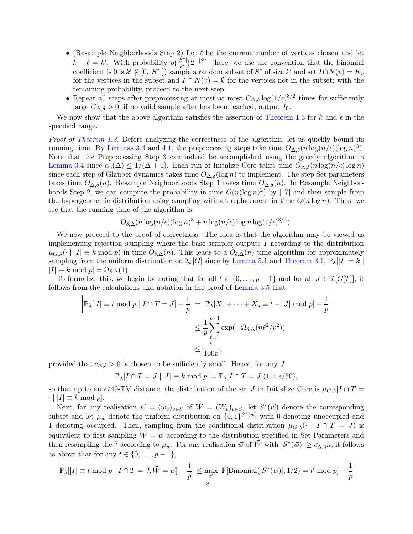- <span id="page-17-0"></span>• (Resample Neighborhoods Step 2) Let  $\ell$  be the current number of vertices chosen and let  $k-\ell = k'$ . With probability  $p\binom{|S^*|}{k'}2^{-|S^*|}$  (here, we use the convention that the binomial coefficient is 0 is  $k' \notin [0, |S^*|]$  sample a random subset of  $S^*$  of size  $k'$  and set  $I \cap N(v) = K_v$ for the vertices in the subset and  $I \cap N(v) = \emptyset$  for the vertices not in the subset; with the remaining probability, proceed to the next step.
- Repeat all steps after preprocessing at most at most  $C_{\Delta,\delta} \log(1/\epsilon)^{3/2}$  times for sufficiently large  $C_{\Delta,\delta} > 0$ ; if no valid sample after has been reached, output  $I_0$ .

We now show that the above algorithm satisfies the assertion of [Theorem 1.3](#page-2-0) for k and  $\epsilon$  in the specified range.

*Proof of [Theorem 1.3.](#page-2-0)* Before analyzing the correctness of the algorithm, let us quickly bound its running time. By [Lemmas 3.4](#page-9-1) and [4.1,](#page-11-1) the preprocessing steps take time  $O_{\Delta,\delta}(n \log(n/\epsilon)(\log n)^3)$ . Note that the Preprocessing Step 3 can indeed be accomplished using the greedy algorithm in [Lemma 3.4](#page-9-1) since  $\alpha_c(\Delta) \leq 1/(\Delta+1)$ . Each run of Initalize Core takes time  $O_{\Delta,\delta}(n \log(n/\epsilon) \log n)$ since each step of Glauber dynamics takes time  $O_{\Delta,\delta}(\log n)$  to implement. The step Set parameters takes time  $O_{\Delta,\delta}(n)$ . Resample Neighborhoods Step 1 takes time  $O_{\Delta,\delta}(n)$ . In Resample Neighborhoods Step 2, we can compute the probability in time  $O(n(\log n)^2)$  by [\[17\]](#page-24-18) and then sample from the hypergeometric distribution using sampling without replacement in time  $O(n \log n)$ . Thus, we see that the running time of the algorithm is

$$
O_{\delta,\Delta}(n\log(n/\epsilon)(\log n)^3 + n\log(n/\epsilon)\log n\log(1/\epsilon)^{3/2}).
$$

We now proceed to the proof of correctness. The idea is that the algorithm may be viewed as implementing rejection sampling where the base sampler outputs  $I$  according to the distribution  $\mu_{G,\lambda}(\cdot \mid |I| \equiv k \mod p)$  in time  $\tilde{O}_{\delta,\Delta}(n)$ . This leads to a  $\tilde{O}_{\delta,\Delta}(n)$  time algorithm for approximately sampling from the uniform distribution on  $\mathcal{I}_k[G]$  since by [Lemma 5.1](#page-15-0) and [Theorem 3.1,](#page-8-1)  $\mathbb{P}_{\lambda}[|I| = k]$  $|I| \equiv k \mod p = \tilde{\Omega}_{\delta,\Delta}(1).$ 

To formalize this, we begin by noting that for all  $t \in \{0, \ldots, p-1\}$  and for all  $J \in \mathcal{I}[G[T]]$ , it follows from the calculations and notation in the proof of [Lemma 3.5](#page-10-0) that

$$
\left| \mathbb{P}_{\lambda}[|I| \equiv t \bmod p \mid I \cap T = J] - \frac{1}{p} \right| = \left| \mathbb{P}_{\lambda}[X_1 + \dots + X_s \equiv t - |J| \bmod p] - \frac{1}{p} \right|
$$
  

$$
\leq \frac{1}{p} \sum_{\ell=1}^{p-1} \exp(-\Omega_{\delta,\Delta}(n\ell^2/p^2))
$$
  

$$
\leq \frac{\epsilon}{100p},
$$

provided that  $c_{\Delta,\delta} > 0$  is chosen to be sufficiently small. Hence, for any J

$$
\mathbb{P}_{\lambda}[I \cap T = J \mid |I| \equiv k \bmod p] = \mathbb{P}_{\lambda}[I \cap T = J](1 \pm \epsilon/50),
$$

so that up to an  $\epsilon/49$ -TV distance, the distribution of the set J in Initialize Core is  $\mu_{G,\lambda}[I \cap T =$  $\cdot | |I| \equiv k \bmod p$ .

Next, for any realisation  $\vec{w} = (w_v)_{v \in S}$  of  $\vec{W} = (W_v)_{v \in S}$ , let  $S^*(\vec{w})$  denote the corresponding subset and let  $\mu_{\vec{w}}$  denote the uniform distribution on  $\{0,1\}^{S^*(\vec{w})}$  with 0 denoting unoccupied and 1 denoting occupied. Then, sampling from the conditional distribution  $\mu_{G,\lambda}(\cdot \mid I \cap T = J)$  is equivalent to first sampling  $\vec{W} = \vec{w}$  according to the distribution specified in Set Parameters and then resampling the ? according to  $\mu_{\vec{w}}$ . For any realisation  $\vec{w}$  of  $\vec{W}$  with  $|S^*(\vec{w})| \ge c'_{\Delta,\delta} n$ , it follows as above that for any  $t \in \{0, \ldots, p-1\},\$ 

$$
\left|\mathbb{P}_{\lambda}[|I| \equiv t \bmod p \mid I \cap T = J, \vec{W} = \vec{w}\right| - \frac{1}{p} \le \max_{t'} \left|\mathbb{P}[\text{Binomial}(|S^*(\vec{w})|, 1/2) = t' \bmod p] - \frac{1}{p}\right|
$$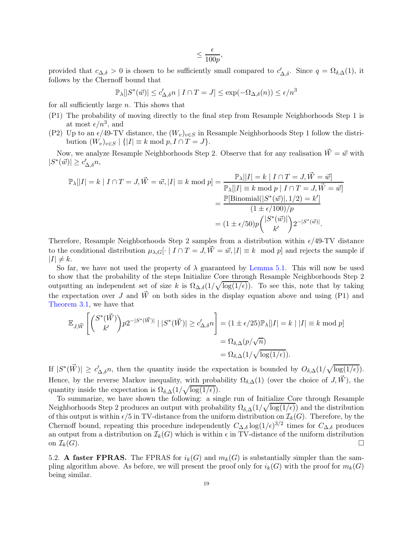$$
\leq \frac{\epsilon}{100p},
$$

provided that  $c_{\Delta,\delta} > 0$  is chosen to be sufficiently small compared to  $c'_{\Delta,\delta}$ . Since  $q = \Omega_{\delta,\Delta}(1)$ , it follows by the Chernoff bound that

$$
\mathbb{P}_{\lambda} [|S^*(\vec{w})| \le c'_{\Delta,\delta} n | I \cap T = J] \le \exp(-\Omega_{\Delta,\delta}(n)) \le \epsilon/n^3
$$

for all sufficiently large  $n$ . This shows that

- (P1) The probability of moving directly to the final step from Resample Neighborhoods Step 1 is at most  $\epsilon/n^3$ , and
- (P2) Up to an  $\epsilon/49$ -TV distance, the  $(W_v)_{v \in S}$  in Resample Neighborhoods Step 1 follow the distribution  $(W_v)_{v \in S} \mid \{|I| \equiv k \mod p, I \cap T = J\}.$

Now, we analyze Resample Neighborhoods Step 2. Observe that for any realisation  $\vec{W} = \vec{w}$  with  $|S^*(\vec{w})| \geq c'_{\Delta,\delta} n,$ 

$$
\mathbb{P}_{\lambda}[|I| = k | I \cap T = J, \vec{W} = \vec{w}, |I| \equiv k \mod p] = \frac{\mathbb{P}_{\lambda}||I| = k | I \cap T = J, \vec{W} = \vec{w}]}{\mathbb{P}_{\lambda}[|I| \equiv k \mod p | I \cap T = J, \vec{W} = \vec{w}]} = \frac{\mathbb{P}[\text{Binomial}(|S^*(\vec{w})|, 1/2) = k']}{(1 \pm \epsilon/100)/p} = (1 \pm \epsilon/50)p \binom{|S^*(\vec{w})|}{k'} 2^{-|S^*(\vec{w})|}.
$$

Therefore, Resample Neighborhoods Step 2 samples from a distribution within  $\epsilon$ /49-TV distance to the conditional distribution  $\mu_{\lambda,G}[\cdot | I \cap T = J, \vec{W} = \vec{w}, |I| \equiv k \mod p]$  and rejects the sample if  $|I| \neq k$ .

So far, we have not used the property of  $\lambda$  guaranteed by [Lemma 5.1.](#page-15-0) This will now be used to show that the probability of the steps Initialize Core through Resample Neighborhoods Step 2 outputting an independent set of size k is  $\Omega_{\Delta,\delta}(1/\sqrt{\log(1/\epsilon)})$ . To see this, note that by taking the expectation over J and  $\vec{W}$  on both sides in the display equation above and using (P1) and [Theorem 3.1,](#page-8-1) we have that

$$
\mathbb{E}_{J,\vec{W}}\left[\binom{S^*(\vec{W})}{k'}p2^{-|S^*(\vec{W})|} |S^*(\vec{W})| \ge c'_{\Delta,\delta}n\right] = (1 \pm \epsilon/25)\mathbb{P}_{\lambda}[|I| = k | |I| \equiv k \mod p]
$$

$$
= \Omega_{\delta,\Delta}(p/\sqrt{n})
$$

$$
= \Omega_{\delta,\Delta}(1/\sqrt{\log(1/\epsilon)}).
$$

If  $|S^*(\vec{W})| \geq c'_{\Delta,\delta} n$ , then the quantity inside the expectation is bounded by  $O_{\delta,\Delta}(1/\sqrt{\log(1/\epsilon)})$ . Hence, by the reverse Markov inequality, with probability  $\Omega_{\delta,\Delta}(1)$  (over the choice of  $J, W$ ), the quantity inside the expectation is  $\Omega_{\delta,\Delta}(1/\sqrt{\log(1/\epsilon)})$ .

To summarize, we have shown the following: a single run of Initialize Core through Resample Neighborhoods Step 2 produces an output with probability  $\Omega_{\delta,\Delta}(1/\sqrt{\log(1/\epsilon)})$  and the distribution of this output is within  $\epsilon/5$  in TV-distance from the uniform distribution on  $\mathcal{I}_k(G)$ . Therefore, by the Chernoff bound, repeating this procedure independently  $C_{\Delta,\delta} \log(1/\epsilon)^{3/2}$  times for  $C_{\Delta,\delta}$  produces an output from a distribution on  $\mathcal{I}_k(G)$  which is within  $\epsilon$  in TV-distance of the uniform distribution on  $\mathcal{I}_k(G)$ . on  $\mathcal{I}_k(G)$ .

5.2. A faster FPRAS. The FPRAS for  $i_k(G)$  and  $m_k(G)$  is substantially simpler than the sampling algorithm above. As before, we will present the proof only for  $i_k(G)$  with the proof for  $m_k(G)$ being similar.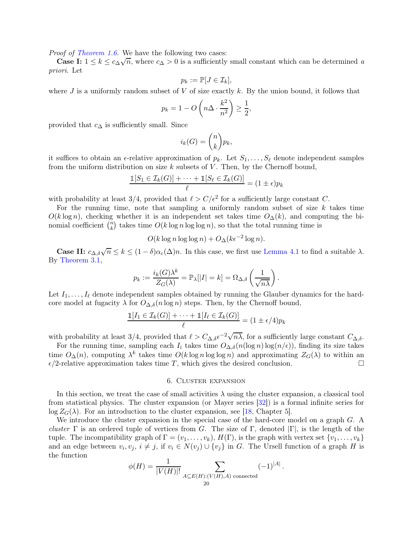<span id="page-19-1"></span>*Proof of [Theorem 1.6.](#page-4-0)* We have the following two cases:

**Case I:**  $1 \leq k \leq c_{\Delta}\sqrt{n}$ , where  $c_{\Delta} > 0$  is a sufficiently small constant which can be determined *a priori*. Let

$$
p_k := \mathbb{P}[J \in \mathcal{I}_k],
$$

where J is a uniformly random subset of V of size exactly k. By the union bound, it follows that

$$
p_k = 1 - O\left(n\Delta \cdot \frac{k^2}{n^2}\right) \ge \frac{1}{2},
$$

provided that  $c_{\Delta}$  is sufficiently small. Since

$$
i_k(G) = \binom{n}{k} p_k,
$$

it suffices to obtain an  $\epsilon$ -relative approximation of  $p_k$ . Let  $S_1, \ldots, S_\ell$  denote independent samples from the uniform distribution on size  $k$  subsets of  $V$ . Then, by the Chernoff bound,

$$
\frac{\mathbb{1}[S_1 \in \mathcal{I}_k(G)] + \dots + \mathbb{1}[S_\ell \in \mathcal{I}_k(G)]}{\ell} = (1 \pm \epsilon)p_k
$$

with probability at least 3/4, provided that  $\ell > C/\epsilon^2$  for a sufficiently large constant C.

For the running time, note that sampling a uniformly random subset of size  $k$  takes time  $O(k \log n)$ , checking whether it is an independent set takes time  $O_{\Delta}(k)$ , and computing the binomial coefficient  $\binom{n}{k}$  $\binom{n}{k}$  takes time  $O(k \log n \log \log n)$ , so that the total running time is

 $O(k \log n \log \log n) + O_{\Delta}(k\epsilon^{-2} \log n).$ 

Case II:  $c_{\Delta,\delta}\sqrt{n} \le k \le (1-\delta)\alpha_c(\Delta)n$ . In this case, we first use [Lemma 4.1](#page-11-1) to find a suitable  $\lambda$ . By [Theorem 3.1,](#page-8-1)

$$
p_k := \frac{i_k(G)\lambda^k}{Z_G(\lambda)} = \mathbb{P}_{\lambda}[|I| = k] = \Omega_{\Delta,\delta}\left(\frac{1}{\sqrt{n\lambda}}\right).
$$

Let  $I_1, \ldots, I_\ell$  denote independent samples obtained by running the Glauber dynamics for the hardcore model at fugacity  $\lambda$  for  $O_{\Delta,\delta}(n \log n)$  steps. Then, by the Chernoff bound,

$$
\frac{\mathbb{1}[I_1 \in \mathcal{I}_k(G)] + \dots + \mathbb{1}[I_\ell \in \mathcal{I}_k(G)]}{\ell} = (1 \pm \epsilon/4)p_k
$$

with probability at least 3/4, provided that  $\ell > C_{\Delta,\delta} \epsilon^{-2} \sqrt{n\lambda}$ , for a sufficiently large constant  $C_{\Delta,\delta}$ .

For the running time, sampling each  $I_i$  takes time  $O_{\Delta,\delta}(n(\log n) \log(n/\epsilon))$ , finding its size takes time  $O_{\Delta}(n)$ , computing  $\lambda^k$  takes time  $O(k \log n \log \log n)$  and approximating  $Z_G(\lambda)$  to within an  $\epsilon/2$ -relative approximation takes time T, which gives the desired conclusion.

### 6. Cluster expansion

<span id="page-19-0"></span>In this section, we treat the case of small activities  $\lambda$  using the cluster expansion, a classical tool from statistical physics. The cluster expansion (or Mayer series [\[32\]](#page-25-17)) is a formal infinite series for  $\log Z_G(\lambda)$ . For an introduction to the cluster expansion, see [\[18,](#page-24-19) Chapter 5].

We introduce the cluster expansion in the special case of the hard-core model on a graph G. A *cluster* Γ is an ordered tuple of vertices from G. The size of Γ, denoted  $|\Gamma|$ , is the length of the tuple. The incompatibility graph of  $\Gamma = (v_1, \ldots, v_k)$ ,  $H(\Gamma)$ , is the graph with vertex set  $\{v_1, \ldots, v_k\}$ and an edge between  $v_i, v_j, i \neq j$ , if  $v_i \in N(v_j) \cup \{v_j\}$  in G. The Ursell function of a graph H is the function

$$
\phi(H) = \frac{1}{|V(H)|!} \sum_{\substack{A \subseteq E(H) : (V(H), A) \text{ connected} \\ 20}} (-1)^{|A|}.
$$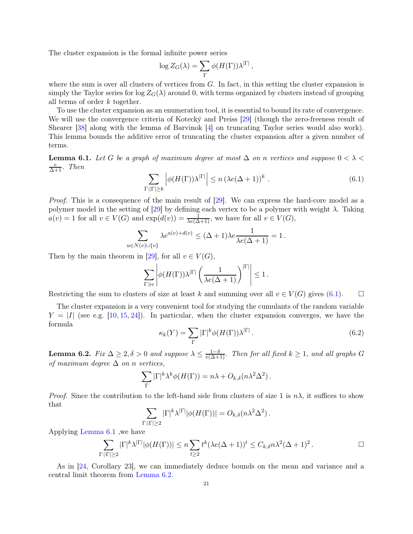<span id="page-20-5"></span>The cluster expansion is the formal infinite power series

$$
\log Z_G(\lambda) = \sum_{\Gamma} \phi(H(\Gamma))\lambda^{|\Gamma|},
$$

where the sum is over all clusters of vertices from  $G$ . In fact, in this setting the cluster expansion is simply the Taylor series for  $\log Z_G(\lambda)$  around 0, with terms organized by clusters instead of grouping all terms of order k together.

To use the cluster expansion as an enumeration tool, it is essential to bound its rate of convergence. We will use the convergence criteria of Kotecký and Preiss [\[29\]](#page-25-18) (though the zero-freeness result of Shearer  $|38|$  along with the lemma of Barvinok  $|4|$  on truncating Taylor series would also work). This lemma bounds the additive error of truncating the cluster expansion after a given number of terms.

<span id="page-20-2"></span>**Lemma 6.1.** Let G be a graph of maximum degree at most  $\Delta$  on n vertices and suppose  $0 < \lambda <$  $\frac{e}{\Delta+1}$ *. Then* 

<span id="page-20-1"></span>
$$
\sum_{\Gamma:|\Gamma|\geq k} \left| \phi(H(\Gamma))\lambda^{|\Gamma|} \right| \leq n \left(\lambda e(\Delta + 1)\right)^k. \tag{6.1}
$$

*Proof.* This is a consequence of the main result of [\[29\]](#page-25-18). We can express the hard-core model as a polymer model in the setting of  $[29]$  by defining each vertex to be a polymer with weight  $\lambda$ . Taking  $a(v) = 1$  for all  $v \in V(G)$  and  $\exp(d(v)) = \frac{1}{\lambda e(\Delta+1)}$ , we have for all  $v \in V(G)$ ,

$$
\sum_{u \in N(v) \cup \{v\}} \lambda e^{a(v) + d(v)} \leq (\Delta + 1)\lambda e \frac{1}{\lambda e(\Delta + 1)} = 1.
$$

Then by the main theorem in [\[29\]](#page-25-18), for all  $v \in V(G)$ ,

$$
\sum_{\Gamma \ni v} \left| \phi(H(\Gamma)) \lambda^{|\Gamma|} \left( \frac{1}{\lambda e(\Delta + 1)} \right)^{|\Gamma|} \right| \le 1.
$$

Restricting the sum to clusters of size at least k and summing over all  $v \in V(G)$  gives [\(6.1\)](#page-20-1).  $\Box$ 

The cluster expansion is a very convenient tool for studying the cumulants of the random variable  $Y = |I|$  (see e.g. [\[10,](#page-24-20) [15,](#page-24-21) [24\]](#page-24-22)). In particular, when the cluster expansion converges, we have the formula

<span id="page-20-4"></span>
$$
\kappa_k(Y) = \sum_{\Gamma} |\Gamma|^k \phi(H(\Gamma)) \lambda^{|\Gamma|}.
$$
\n(6.2)

<span id="page-20-3"></span>**Lemma 6.2.** *Fix*  $\Delta \geq 2, \delta > 0$  *and suppose*  $\lambda \leq \frac{1-\delta}{e(\Delta+1)}$ *. Then for all fixed*  $k \geq 1$ *, and all graphs* G *of maximum degree* ∆ *on* n *vertices,*

$$
\sum_{\Gamma} |\Gamma|^k \lambda^k \phi(H(\Gamma)) = n\lambda + O_{k,\delta}(n\lambda^2 \Delta^2).
$$

*Proof.* Since the contribution to the left-hand side from clusters of size 1 is  $n\lambda$ , it suffices to show that

$$
\sum_{\Gamma:|\Gamma|\geq 2}|\Gamma|^k\lambda^{|\Gamma|}|\phi(H(\Gamma))|=O_{k,\delta}(n\lambda^2\Delta^2).
$$

Applying [Lemma 6.1](#page-20-2) ,we have

$$
\sum_{\Gamma:|\Gamma|\geq 2} |\Gamma|^k \lambda^{|\Gamma|} |\phi(H(\Gamma))| \leq n \sum_{t\geq 2} t^k (\lambda e(\Delta+1))^t \leq C_{k,\delta} n \lambda^2 (\Delta+1)^2.
$$

<span id="page-20-0"></span>As in [\[24,](#page-24-22) Corollary 23], we can immediately deduce bounds on the mean and variance and a central limit theorem from [Lemma 6.2.](#page-20-3)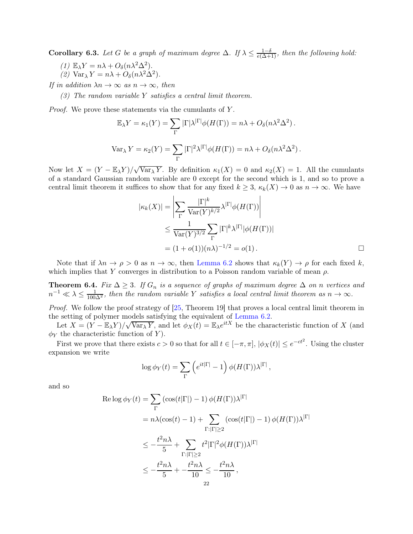<span id="page-21-0"></span>**Corollary 6.3.** Let G be a graph of maximum degree  $\Delta$ . If  $\lambda \leq \frac{1-\delta}{e(\Delta+1)}$ , then the following hold:

(1)  $\mathbb{E}_{\lambda} Y = n\lambda + O_{\delta}(n\lambda^2 \Delta^2)$ .

(2) Var<sub> $\lambda$ </sub> Y =  $n\lambda + O_{\delta}(n\lambda^2\Delta^2)$ .

*If in addition*  $\lambda n \to \infty$  *as*  $n \to \infty$ *, then* 

*(3) The random variable* Y *satisfies a central limit theorem.*

*Proof.* We prove these statements via the cumulants of Y.

$$
\mathbb{E}_{\lambda} Y = \kappa_1(Y) = \sum_{\Gamma} |\Gamma| \lambda^{|\Gamma|} \phi(H(\Gamma)) = n\lambda + O_{\delta}(n\lambda^2 \Delta^2).
$$
  

$$
\text{Var}_{\lambda} Y = \kappa_2(Y) = \sum_{\Gamma} |\Gamma|^2 \lambda^{|\Gamma|} \phi(H(\Gamma)) = n\lambda + O_{\delta}(n\lambda^2 \Delta^2).
$$

Now let  $X = (Y - \mathbb{E}_{\lambda}Y)/\sqrt{\text{Var}_{\lambda}Y}$ . By definition  $\kappa_1(X) = 0$  and  $\kappa_2(X) = 1$ . All the cumulants of a standard Gaussian random variable are 0 except for the second which is 1, and so to prove a central limit theorem it suffices to show that for any fixed  $k \geq 3$ ,  $\kappa_k(X) \to 0$  as  $n \to \infty$ . We have

$$
|\kappa_k(X)| = \left| \sum_{\Gamma} \frac{|\Gamma|^k}{\text{Var}(Y)^{k/2}} \lambda^{|\Gamma|} \phi(H(\Gamma)) \right|
$$
  

$$
\leq \frac{1}{\text{Var}(Y)^{3/2}} \sum_{\Gamma} |\Gamma|^k \lambda^{|\Gamma|} |\phi(H(\Gamma))|
$$
  

$$
= (1 + o(1))(n\lambda)^{-1/2} = o(1).
$$

Note that if  $\lambda n \to \rho > 0$  as  $n \to \infty$ , then [Lemma 6.2](#page-20-3) shows that  $\kappa_k(Y) \to \rho$  for each fixed k, which implies that Y converges in distribution to a Poisson random variable of mean  $\rho$ .

**Theorem 6.4.** *Fix*  $\Delta \geq 3$ *. If*  $G_n$  *is a sequence of graphs of maximum degree*  $\Delta$  *on n vertices and*  $n^{-1} \ll \lambda \leq \frac{1}{100\Delta^2}$ , then the random variable Y satisfies a local central limit theorem as  $n \to \infty$ .

*Proof.* We follow the proof strategy of [\[25,](#page-25-19) Theorem 19] that proves a local central limit theorem in the setting of polymer models satisfying the equivalent of [Lemma 6.2.](#page-20-3)

Let  $X = (Y - \mathbb{E}_{\lambda}Y)/\sqrt{\text{Var}_{\lambda}Y}$ , and let  $\phi_X(t) = \mathbb{E}_{\lambda}e^{itX}$  be the characteristic function of X (and  $\phi_Y$  the characteristic function of Y).

First we prove that there exists  $c > 0$  so that for all  $t \in [-\pi, \pi]$ ,  $|\phi_X(t)| \leq e^{-ct^2}$ . Using the cluster expansion we write

$$
\log \phi_Y(t) = \sum_{\Gamma} \left( e^{it|\Gamma|} - 1 \right) \phi(H(\Gamma)) \lambda^{|\Gamma|},
$$

and so

$$
\begin{split} \operatorname{Re}\log\phi_{Y}(t) &= \sum_{\Gamma} \left( \cos(t|\Gamma|) - 1 \right) \phi(H(\Gamma))\lambda^{|\Gamma|} \\ &= n\lambda(\cos(t) - 1) + \sum_{\Gamma:|\Gamma|\geq 2} \left( \cos(t|\Gamma|) - 1 \right) \phi(H(\Gamma))\lambda^{|\Gamma|} \\ &\leq -\frac{t^2 n \lambda}{5} + \sum_{\Gamma:|\Gamma|\geq 2} t^2 |\Gamma|^2 \phi(H(\Gamma))\lambda^{|\Gamma|} \\ &\leq -\frac{t^2 n \lambda}{5} + -\frac{t^2 n \lambda}{10} \leq -\frac{t^2 n \lambda}{10}, \\ &\geq 2 \end{split}
$$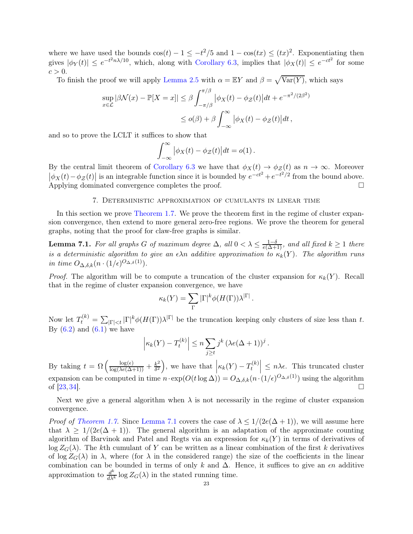<span id="page-22-2"></span>where we have used the bounds  $\cos(t) - 1 \leq -t^2/5$  and  $1 - \cos(tx) \leq (tx)^2$ . Exponentiating then gives  $|\phi_Y(t)| \leq e^{-t^2 n \lambda/10}$ , which, along with [Corollary 6.3,](#page-20-0) implies that  $|\phi_X(t)| \leq e^{-ct^2}$  for some  $c > 0$ .

To finish the proof we will apply [Lemma 2.5](#page-7-1) with  $\alpha = \mathbb{E}Y$  and  $\beta = \sqrt{\text{Var}(Y)}$ , which says

$$
\sup_{x \in \mathcal{L}} |\beta \mathcal{N}(x) - \mathbb{P}[X = x]| \le \beta \int_{-\pi/\beta}^{\pi/\beta} |\phi_X(t) - \phi_Z(t)| dt + e^{-\pi^2/(2\beta^2)} \le o(\beta) + \beta \int_{-\infty}^{\infty} |\phi_X(t) - \phi_Z(t)| dt,
$$

and so to prove the LCLT it suffices to show that

$$
\int_{-\infty}^{\infty} |\phi_X(t) - \phi_Z(t)| dt = o(1).
$$

By the central limit theorem of [Corollary 6.3](#page-20-0) we have that  $\phi_X(t) \to \phi_Z(t)$  as  $n \to \infty$ . Moreover  $|\phi_X(t) - \phi_{\mathcal{Z}}(t)|$  is an integrable function since it is bounded by  $e^{-ct^2} + e^{-t^2/2}$  from the bound above. Applying dominated convergence completes the proof.  $\Box$ 

## 7. Deterministic approximation of cumulants in linear time

<span id="page-22-0"></span>In this section we prove [Theorem 1.7.](#page-5-0) We prove the theorem first in the regime of cluster expansion convergence, then extend to more general zero-free regions. We prove the theorem for general graphs, noting that the proof for claw-free graphs is similar.

<span id="page-22-1"></span>**Lemma 7.1.** *For all graphs* G *of maximum degree*  $\Delta$ *, all*  $0 < \lambda \leq \frac{1-\delta}{e(\Delta+1)}$ *, and all fixed*  $k \geq 1$  *there is a deterministic algorithm to give an*  $\epsilon \lambda n$  *additive approximation to*  $\kappa_k(Y)$ *. The algorithm runs in time*  $O_{\Delta,\delta,k}(n \cdot (1/\epsilon)^{O_{\Delta,\delta}(1)})$ .

*Proof.* The algorithm will be to compute a truncation of the cluster expansion for  $\kappa_k(Y)$ . Recall that in the regime of cluster expansion convergence, we have

$$
\kappa_k(Y) = \sum_{\Gamma} |\Gamma|^k \phi(H(\Gamma)) \lambda^{|\Gamma|}.
$$

Now let  $T_t^{(k)} = \sum_{|\Gamma| \leq t} |\Gamma|^k \phi(H(\Gamma))\lambda^{|\Gamma|}$  be the truncation keeping only clusters of size less than t. By  $(6.2)$  and  $(6.1)$  we have

$$
\left|\kappa_k(Y) - T_t^{(k)}\right| \le n \sum_{j \ge t} j^k \left(\lambda e(\Delta + 1)\right)^j.
$$

By taking  $t = \Omega \left( \frac{\log(\epsilon)}{\log(\lambda \epsilon(\Delta + 1))} + \frac{k^2}{\delta^2} \right)$  $\frac{k^2}{\delta^2}$ , we have that  $\left|\kappa_k(Y) - T_t^{(k)}\right|$ t  $\vert \leq n\lambda\epsilon$ . This truncated cluster expansion can be computed in time  $n \cdot \exp(O(t \log \Delta)) = O_{\Delta,\delta,k}(n \cdot (1/\epsilon)^{O_{\Delta,\delta}(1)})$  using the algorithm of  $[23, 34]$  $[23, 34]$ .

Next we give a general algorithm when  $\lambda$  is not necessarily in the regime of cluster expansion convergence.

*Proof of [Theorem 1.7.](#page-5-0)* Since [Lemma 7.1](#page-22-1) covers the case of  $\lambda \leq 1/(2e(\Delta + 1))$ , we will assume here that  $\lambda \geq 1/(2e(\Delta + 1))$ . The general algorithm is an adaptation of the approximate counting algorithm of Barvinok and Patel and Regts via an expression for  $\kappa_k(Y)$  in terms of derivatives of  $\log Z_G(\lambda)$ . The kth cumulant of Y can be written as a linear combination of the first k derivatives of log  $Z_G(\lambda)$  in  $\lambda$ , where (for  $\lambda$  in the considered range) the size of the coefficients in the linear combination can be bounded in terms of only k and  $\Delta$ . Hence, it suffices to give an  $\epsilon n$  additive approximation to  $\frac{d^k}{d\lambda}$  $\frac{d^{n}}{d\lambda^{k}}\log Z_{G}(\lambda)$  in the stated running time.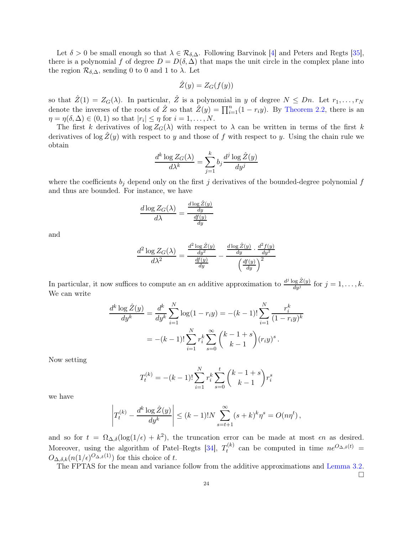<span id="page-23-0"></span>Let  $\delta > 0$  be small enough so that  $\lambda \in \mathcal{R}_{\delta,\Delta}$ . Following Barvinok [\[4\]](#page-24-11) and Peters and Regts [\[35\]](#page-25-9), there is a polynomial f of degree  $D = D(\delta, \Delta)$  that maps the unit circle in the complex plane into the region  $\mathcal{R}_{\delta,\Delta}$ , sending 0 to 0 and 1 to  $\lambda$ . Let

$$
\hat{Z}(y) = Z_G(f(y))
$$

so that  $\hat{Z}(1) = Z_G(\lambda)$ . In particular,  $\hat{Z}$  is a polynomial in y of degree  $N \leq Dn$ . Let  $r_1, \ldots, r_N$ denote the inverses of the roots of  $\hat{Z}$  so that  $\hat{Z}(y) = \prod_{i=1}^{n} (1 - r_i y)$ . By [Theorem 2.2,](#page-6-1) there is an  $\eta = \eta(\delta, \Delta) \in (0, 1)$  so that  $|r_i| \leq \eta$  for  $i = 1, \ldots, N$ .

The first k derivatives of  $\log Z_G(\lambda)$  with respect to  $\lambda$  can be written in terms of the first k derivatives of  $\log \hat{Z}(y)$  with respect to y and those of f with respect to y. Using the chain rule we obtain

$$
\frac{d^k \log Z_G(\lambda)}{d\lambda^k} = \sum_{j=1}^k b_j \frac{d^j \log \hat{Z}(y)}{dy^j}
$$

where the coefficients  $b_j$  depend only on the first j derivatives of the bounded-degree polynomial f and thus are bounded. For instance, we have

$$
\frac{d \log Z_G(\lambda)}{d \lambda} = \frac{\frac{d \log \hat{Z}(y)}{dy}}{\frac{df(y)}{dy}}
$$

and

$$
\frac{d^2 \log Z_G(\lambda)}{d\lambda^2} = \frac{\frac{d^2 \log \hat{Z}(y)}{dy^2}}{\frac{df(y)}{dy}} - \frac{\frac{d \log \hat{Z}(y)}{dy} \cdot \frac{d^2 f(y)}{dy^2}}{\left(\frac{df(y)}{dy}\right)^2}
$$

In particular, it now suffices to compute an  $\epsilon n$  additive approximation to  $\frac{d^j \log \hat{Z}(y)}{d u^j}$  $\frac{\log Z(y)}{dy^j}$  for  $j = 1, \ldots, k$ . We can write

$$
\frac{d^k \log \hat{Z}(y)}{dy^k} = \frac{d^k}{dy^k} \sum_{i=1}^N \log(1 - r_i y) = -(k-1)! \sum_{i=1}^N \frac{r_i^k}{(1 - r_i y)^k}
$$

$$
= -(k-1)! \sum_{i=1}^N r_i^k \sum_{s=0}^\infty \binom{k-1+s}{k-1} (r_i y)^s.
$$

Now setting

$$
T_t^{(k)} = -(k-1)! \sum_{i=1}^{N} r_i^k \sum_{s=0}^{t} {k-1+s \choose k-1} r_i^s
$$

we have

$$
\left| T_t^{(k)} - \frac{d^k \log \hat{Z}(y)}{dy^k} \right| \le (k-1)! N \sum_{s=t+1}^{\infty} (s+k)^k \eta^s = O(n\eta^t),
$$

and so for  $t = \Omega_{\Delta,\delta}(\log(1/\epsilon) + k^2)$ , the truncation error can be made at most  $\epsilon n$  as desired. Moreover, using the algorithm of Patel–Regts [\[34\]](#page-25-8),  $T_t^{(k)}$  $t_t^{(k)}$  can be computed in time  $ne^{O_{\Delta,\delta}(t)}$  =  $O_{\Delta,\delta,k}(n(1/\epsilon)^{O_{\Delta,\delta}(1)})$  for this choice of t.

The FPTAS for the mean and variance follow from the additive approximations and [Lemma 3.2.](#page-8-2)

 $\Box$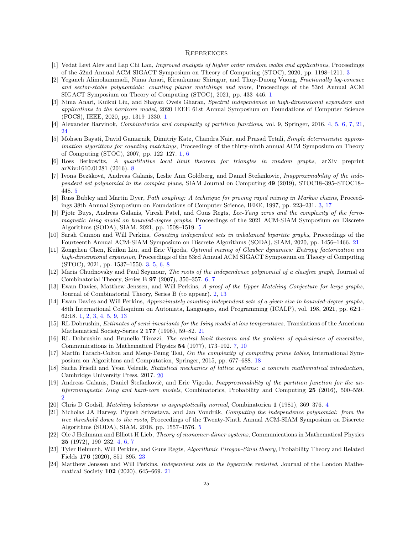#### **REFERENCES**

- <span id="page-24-7"></span>[1] Vedat Levi Alev and Lap Chi Lau, Improved analysis of higher order random walks and applications, Proceedings of the 52nd Annual ACM SIGACT Symposium on Theory of Computing (STOC), 2020, pp. 1198–1211. [3](#page-2-1)
- <span id="page-24-0"></span>[2] Yeganeh Alimohammadi, Nima Anari, Kirankumar Shiragur, and Thuy-Duong Vuong, Fractionally log-concave and sector-stable polynomials: counting planar matchings and more, Proceedings of the 53rd Annual ACM SIGACT Symposium on Theory of Computing (STOC), 2021, pp. 433–446. [1](#page-0-0)
- <span id="page-24-1"></span>[3] Nima Anari, Kuikui Liu, and Shayan Oveis Gharan, Spectral independence in high-dimensional expanders and applications to the hardcore model, 2020 IEEE 61st Annual Symposium on Foundations of Computer Science (FOCS), IEEE, 2020, pp. 1319–1330. [1](#page-0-0)
- <span id="page-24-11"></span><span id="page-24-3"></span>[4] Alexander Barvinok, Combinatorics and complexity of partition functions, vol. 9, Springer, 2016. [4,](#page-3-1) [5,](#page-4-1) [6,](#page-5-1) [7,](#page-6-3) [21,](#page-20-5) [24](#page-23-0)
- [5] Mohsen Bayati, David Gamarnik, Dimitriy Katz, Chandra Nair, and Prasad Tetali, Simple deterministic approximation algorithms for counting matchings, Proceedings of the thirty-ninth annual ACM Symposium on Theory of Computing (STOC), 2007, pp. 122–127. [1,](#page-0-0) [6](#page-5-1)
- <span id="page-24-17"></span>[6] Ross Berkowitz, A quantitative local limit theorem for triangles in random graphs, arXiv preprint arXiv:1610.01281 (2016). [8](#page-7-3)
- <span id="page-24-12"></span>[7] Ivona Bezáková, Andreas Galanis, Leslie Ann Goldberg, and Daniel Stefankovic, Inapproximability of the independent set polynomial in the complex plane, SIAM Journal on Computing 49 (2019), STOC18–395–STOC18– 448. [5](#page-4-1)
- <span id="page-24-13"></span><span id="page-24-6"></span>[8] Russ Bubley and Martin Dyer, Path coupling: A technique for proving rapid mixing in Markov chains, Proceedings 38th Annual Symposium on Foundations of Computer Science, IEEE, 1997, pp. 223–231. [3,](#page-2-1) [17](#page-16-0)
- [9] Pjotr Buys, Andreas Galanis, Viresh Patel, and Guus Regts, Lee-Yang zeros and the complexity of the ferromagnetic Ising model on bounded-degree graphs, Proceedings of the 2021 ACM-SIAM Symposium on Discrete Algorithms (SODA), SIAM, 2021, pp. 1508–1519. [5](#page-4-1)
- <span id="page-24-20"></span>[10] Sarah Cannon and Will Perkins, Counting independent sets in unbalanced bipartite graphs, Proceedings of the Fourteenth Annual ACM-SIAM Symposium on Discrete Algorithms (SODA), SIAM, 2020, pp. 1456–1466. [21](#page-20-5)
- <span id="page-24-8"></span>[11] Zongchen Chen, Kuikui Liu, and Eric Vigoda, Optimal mixing of Glauber dynamics: Entropy factorization via high-dimensional expansion, Proceedings of the 53rd Annual ACM SIGACT Symposium on Theory of Computing (STOC), 2021, pp. 1537–1550. [3,](#page-2-1) [5,](#page-4-1) [6,](#page-5-1) [8](#page-7-3)
- <span id="page-24-15"></span>[12] Maria Chudnovsky and Paul Seymour, The roots of the independence polynomial of a clawfree graph, Journal of Combinatorial Theory, Series B 97 (2007), 350–357. [6,](#page-5-1) [7](#page-6-3)
- <span id="page-24-5"></span>[13] Ewan Davies, Matthew Jenssen, and Will Perkins, A proof of the Upper Matching Conjecture for large graphs, Journal of Combinatorial Theory, Series B (to appear). [2,](#page-1-2) [13](#page-12-1)
- <span id="page-24-2"></span>[14] Ewan Davies and Will Perkins, Approximately counting independent sets of a given size in bounded-degree graphs, 48th International Colloquium on Automata, Languages, and Programming (ICALP), vol. 198, 2021, pp. 62:1– 62:18. [1,](#page-0-0) [2,](#page-1-2) [3,](#page-2-1) [4,](#page-3-1) [5,](#page-4-1) [9,](#page-8-4) [13](#page-12-1)
- <span id="page-24-21"></span>[15] RL Dobrushin, Estimates of semi-invariants for the Ising model at low temperatures, Translations of the American Mathematical Society-Series 2 177 (1996), 59–82. [21](#page-20-5)
- <span id="page-24-16"></span>[16] RL Dobrushin and Brunello Tirozzi, The central limit theorem and the problem of equivalence of ensembles, Communications in Mathematical Physics 54 (1977), 173–192. [7,](#page-6-3) [10](#page-9-2)
- <span id="page-24-18"></span>[17] Martín Farach-Colton and Meng-Tsung Tsai, On the complexity of computing prime tables, International Symposium on Algorithms and Computation, Springer, 2015, pp. 677–688. [18](#page-17-0)
- <span id="page-24-19"></span>[18] Sacha Friedli and Yvan Velenik, Statistical mechanics of lattice systems: a concrete mathematical introduction, Cambridge University Press, 2017. [20](#page-19-1)
- <span id="page-24-4"></span>[19] Andreas Galanis, Daniel Štefankovič, and Eric Vigoda, Inapproximability of the partition function for the antiferromagnetic Ising and hard-core models, Combinatorics, Probability and Computing 25 (2016), 500–559. [2](#page-1-2)
- <span id="page-24-14"></span><span id="page-24-10"></span>[20] Chris D Godsil, Matching behaviour is asymptotically normal, Combinatorica 1 (1981), 369–376. [4](#page-3-1)
- [21] Nicholas JA Harvey, Piyush Srivastava, and Jan Vondrák, Computing the independence polynomial: from the tree threshold down to the roots, Proceedings of the Twenty-Ninth Annual ACM-SIAM Symposium on Discrete Algorithms (SODA), SIAM, 2018, pp. 1557–1576. [5](#page-4-1)
- <span id="page-24-9"></span>[22] Ole J Heilmann and Elliott H Lieb, Theory of monomer-dimer systems, Communications in Mathematical Physics 25 (1972), 190–232. [4,](#page-3-1) [6,](#page-5-1) [7](#page-6-3)
- <span id="page-24-23"></span>[23] Tyler Helmuth, Will Perkins, and Guus Regts, Algorithmic Pirogov–Sinai theory, Probability Theory and Related Fields 176 (2020), 851–895. [23](#page-22-2)
- <span id="page-24-22"></span>[24] Matthew Jenssen and Will Perkins, Independent sets in the hypercube revisited, Journal of the London Mathematical Society 102 (2020), 645–669. [21](#page-20-5)